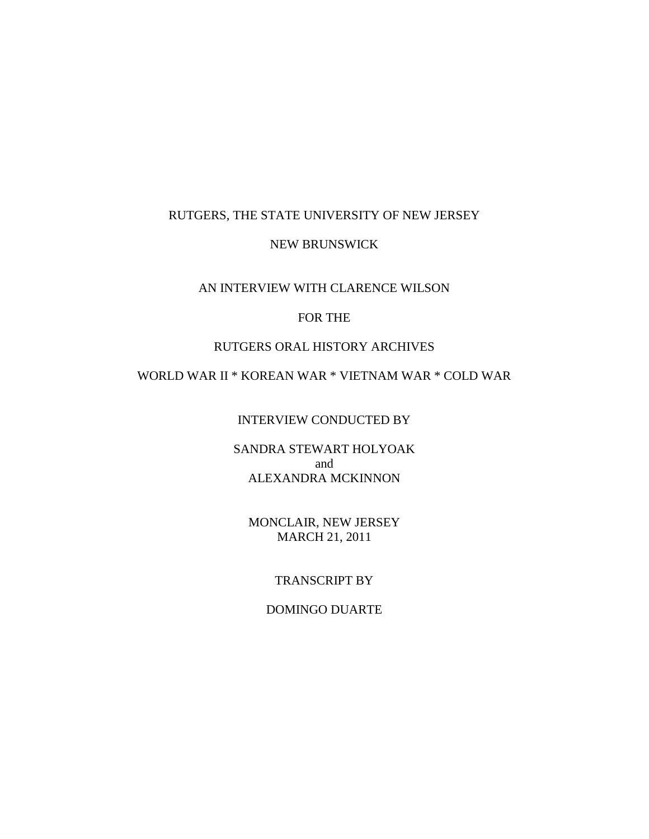## RUTGERS, THE STATE UNIVERSITY OF NEW JERSEY

## NEW BRUNSWICK

# AN INTERVIEW WITH CLARENCE WILSON

# FOR THE

## RUTGERS ORAL HISTORY ARCHIVES

# WORLD WAR II \* KOREAN WAR \* VIETNAM WAR \* COLD WAR

# INTERVIEW CONDUCTED BY

## SANDRA STEWART HOLYOAK and ALEXANDRA MCKINNON

# MONCLAIR, NEW JERSEY MARCH 21, 2011

# TRANSCRIPT BY

## DOMINGO DUARTE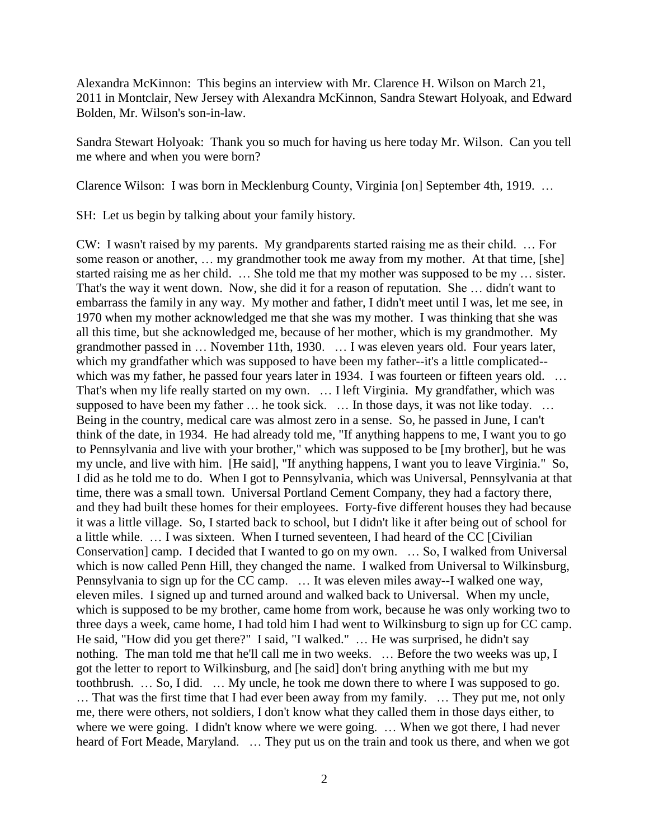Alexandra McKinnon: This begins an interview with Mr. Clarence H. Wilson on March 21, 2011 in Montclair, New Jersey with Alexandra McKinnon, Sandra Stewart Holyoak, and Edward Bolden, Mr. Wilson's son-in-law.

Sandra Stewart Holyoak: Thank you so much for having us here today Mr. Wilson. Can you tell me where and when you were born?

Clarence Wilson: I was born in Mecklenburg County, Virginia [on] September 4th, 1919. …

SH: Let us begin by talking about your family history.

CW: I wasn't raised by my parents. My grandparents started raising me as their child. … For some reason or another, ... my grandmother took me away from my mother. At that time, [she] started raising me as her child. … She told me that my mother was supposed to be my … sister. That's the way it went down. Now, she did it for a reason of reputation. She … didn't want to embarrass the family in any way. My mother and father, I didn't meet until I was, let me see, in 1970 when my mother acknowledged me that she was my mother. I was thinking that she was all this time, but she acknowledged me, because of her mother, which is my grandmother. My grandmother passed in … November 11th, 1930. … I was eleven years old. Four years later, which my grandfather which was supposed to have been my father--it's a little complicated- which was my father, he passed four years later in 1934. I was fourteen or fifteen years old. ... That's when my life really started on my own. … I left Virginia. My grandfather, which was supposed to have been my father ... he took sick. ... In those days, it was not like today. ... Being in the country, medical care was almost zero in a sense. So, he passed in June, I can't think of the date, in 1934. He had already told me, "If anything happens to me, I want you to go to Pennsylvania and live with your brother," which was supposed to be [my brother], but he was my uncle, and live with him. [He said], "If anything happens, I want you to leave Virginia." So, I did as he told me to do. When I got to Pennsylvania, which was Universal, Pennsylvania at that time, there was a small town. Universal Portland Cement Company, they had a factory there, and they had built these homes for their employees. Forty-five different houses they had because it was a little village. So, I started back to school, but I didn't like it after being out of school for a little while. … I was sixteen. When I turned seventeen, I had heard of the CC [Civilian Conservation] camp. I decided that I wanted to go on my own. … So, I walked from Universal which is now called Penn Hill, they changed the name. I walked from Universal to Wilkinsburg, Pennsylvania to sign up for the CC camp. … It was eleven miles away--I walked one way, eleven miles. I signed up and turned around and walked back to Universal. When my uncle, which is supposed to be my brother, came home from work, because he was only working two to three days a week, came home, I had told him I had went to Wilkinsburg to sign up for CC camp. He said, "How did you get there?" I said, "I walked." … He was surprised, he didn't say nothing. The man told me that he'll call me in two weeks. … Before the two weeks was up, I got the letter to report to Wilkinsburg, and [he said] don't bring anything with me but my toothbrush. … So, I did. … My uncle, he took me down there to where I was supposed to go. … That was the first time that I had ever been away from my family. … They put me, not only me, there were others, not soldiers, I don't know what they called them in those days either, to where we were going. I didn't know where we were going. ... When we got there, I had never heard of Fort Meade, Maryland. … They put us on the train and took us there, and when we got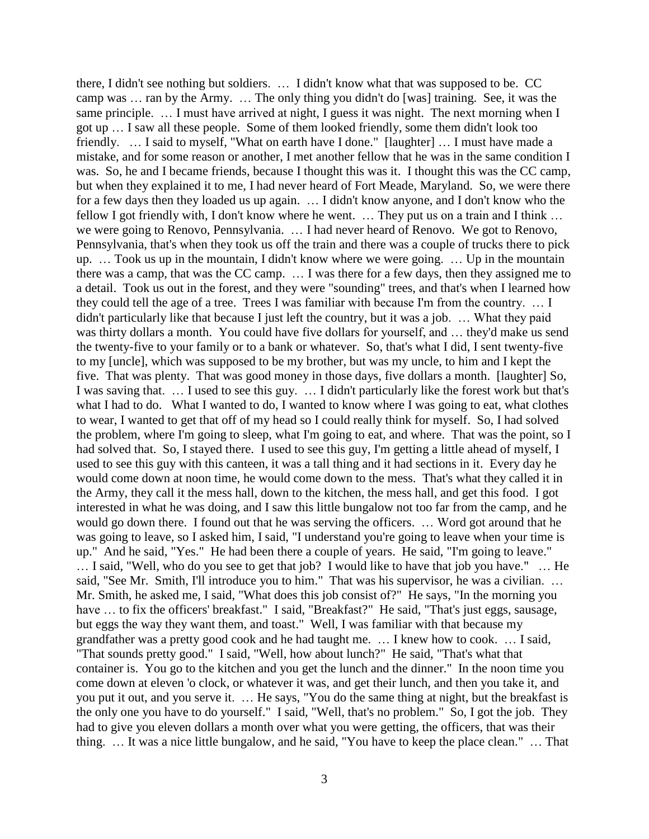there, I didn't see nothing but soldiers. … I didn't know what that was supposed to be. CC camp was … ran by the Army. … The only thing you didn't do [was] training. See, it was the same principle. … I must have arrived at night, I guess it was night. The next morning when I got up … I saw all these people. Some of them looked friendly, some them didn't look too friendly. … I said to myself, "What on earth have I done." [laughter] … I must have made a mistake, and for some reason or another, I met another fellow that he was in the same condition I was. So, he and I became friends, because I thought this was it. I thought this was the CC camp, but when they explained it to me, I had never heard of Fort Meade, Maryland. So, we were there for a few days then they loaded us up again. … I didn't know anyone, and I don't know who the fellow I got friendly with, I don't know where he went. … They put us on a train and I think … we were going to Renovo, Pennsylvania. … I had never heard of Renovo. We got to Renovo, Pennsylvania, that's when they took us off the train and there was a couple of trucks there to pick up. … Took us up in the mountain, I didn't know where we were going. … Up in the mountain there was a camp, that was the CC camp. … I was there for a few days, then they assigned me to a detail. Took us out in the forest, and they were "sounding" trees, and that's when I learned how they could tell the age of a tree. Trees I was familiar with because I'm from the country. … I didn't particularly like that because I just left the country, but it was a job. … What they paid was thirty dollars a month. You could have five dollars for yourself, and … they'd make us send the twenty-five to your family or to a bank or whatever. So, that's what I did, I sent twenty-five to my [uncle], which was supposed to be my brother, but was my uncle, to him and I kept the five. That was plenty. That was good money in those days, five dollars a month. [laughter] So, I was saving that. … I used to see this guy. … I didn't particularly like the forest work but that's what I had to do. What I wanted to do, I wanted to know where I was going to eat, what clothes to wear, I wanted to get that off of my head so I could really think for myself. So, I had solved the problem, where I'm going to sleep, what I'm going to eat, and where. That was the point, so I had solved that. So, I stayed there. I used to see this guy, I'm getting a little ahead of myself, I used to see this guy with this canteen, it was a tall thing and it had sections in it. Every day he would come down at noon time, he would come down to the mess. That's what they called it in the Army, they call it the mess hall, down to the kitchen, the mess hall, and get this food. I got interested in what he was doing, and I saw this little bungalow not too far from the camp, and he would go down there. I found out that he was serving the officers. … Word got around that he was going to leave, so I asked him, I said, "I understand you're going to leave when your time is up." And he said, "Yes." He had been there a couple of years. He said, "I'm going to leave." … I said, "Well, who do you see to get that job? I would like to have that job you have." … He said, "See Mr. Smith, I'll introduce you to him." That was his supervisor, he was a civilian. ... Mr. Smith, he asked me, I said, "What does this job consist of?" He says, "In the morning you have ... to fix the officers' breakfast." I said, "Breakfast?" He said, "That's just eggs, sausage, but eggs the way they want them, and toast." Well, I was familiar with that because my grandfather was a pretty good cook and he had taught me. … I knew how to cook. … I said, "That sounds pretty good." I said, "Well, how about lunch?" He said, "That's what that container is. You go to the kitchen and you get the lunch and the dinner." In the noon time you come down at eleven 'o clock, or whatever it was, and get their lunch, and then you take it, and you put it out, and you serve it. … He says, "You do the same thing at night, but the breakfast is the only one you have to do yourself." I said, "Well, that's no problem." So, I got the job. They had to give you eleven dollars a month over what you were getting, the officers, that was their thing. … It was a nice little bungalow, and he said, "You have to keep the place clean." … That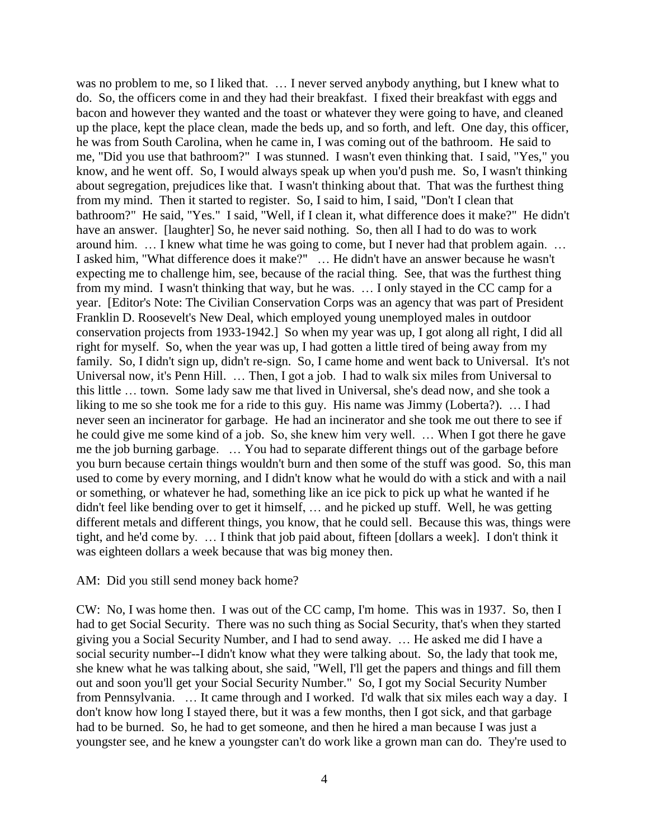was no problem to me, so I liked that. … I never served anybody anything, but I knew what to do. So, the officers come in and they had their breakfast. I fixed their breakfast with eggs and bacon and however they wanted and the toast or whatever they were going to have, and cleaned up the place, kept the place clean, made the beds up, and so forth, and left. One day, this officer, he was from South Carolina, when he came in, I was coming out of the bathroom. He said to me, "Did you use that bathroom?" I was stunned. I wasn't even thinking that. I said, "Yes," you know, and he went off. So, I would always speak up when you'd push me. So, I wasn't thinking about segregation, prejudices like that. I wasn't thinking about that. That was the furthest thing from my mind. Then it started to register. So, I said to him, I said, "Don't I clean that bathroom?" He said, "Yes." I said, "Well, if I clean it, what difference does it make?" He didn't have an answer. [laughter] So, he never said nothing. So, then all I had to do was to work around him. … I knew what time he was going to come, but I never had that problem again. … I asked him, "What difference does it make?" … He didn't have an answer because he wasn't expecting me to challenge him, see, because of the racial thing. See, that was the furthest thing from my mind. I wasn't thinking that way, but he was. … I only stayed in the CC camp for a year. [Editor's Note: The Civilian Conservation Corps was an agency that was part of President Franklin D. Roosevelt's New Deal, which employed young unemployed males in outdoor conservation projects from 1933-1942.] So when my year was up, I got along all right, I did all right for myself. So, when the year was up, I had gotten a little tired of being away from my family. So, I didn't sign up, didn't re-sign. So, I came home and went back to Universal. It's not Universal now, it's Penn Hill. … Then, I got a job. I had to walk six miles from Universal to this little … town. Some lady saw me that lived in Universal, she's dead now, and she took a liking to me so she took me for a ride to this guy. His name was Jimmy (Loberta?). … I had never seen an incinerator for garbage. He had an incinerator and she took me out there to see if he could give me some kind of a job. So, she knew him very well. … When I got there he gave me the job burning garbage. … You had to separate different things out of the garbage before you burn because certain things wouldn't burn and then some of the stuff was good. So, this man used to come by every morning, and I didn't know what he would do with a stick and with a nail or something, or whatever he had, something like an ice pick to pick up what he wanted if he didn't feel like bending over to get it himself, … and he picked up stuff. Well, he was getting different metals and different things, you know, that he could sell. Because this was, things were tight, and he'd come by. … I think that job paid about, fifteen [dollars a week]. I don't think it was eighteen dollars a week because that was big money then.

### AM: Did you still send money back home?

CW: No, I was home then. I was out of the CC camp, I'm home. This was in 1937. So, then I had to get Social Security. There was no such thing as Social Security, that's when they started giving you a Social Security Number, and I had to send away. … He asked me did I have a social security number--I didn't know what they were talking about. So, the lady that took me, she knew what he was talking about, she said, "Well, I'll get the papers and things and fill them out and soon you'll get your Social Security Number." So, I got my Social Security Number from Pennsylvania. … It came through and I worked. I'd walk that six miles each way a day. I don't know how long I stayed there, but it was a few months, then I got sick, and that garbage had to be burned. So, he had to get someone, and then he hired a man because I was just a youngster see, and he knew a youngster can't do work like a grown man can do. They're used to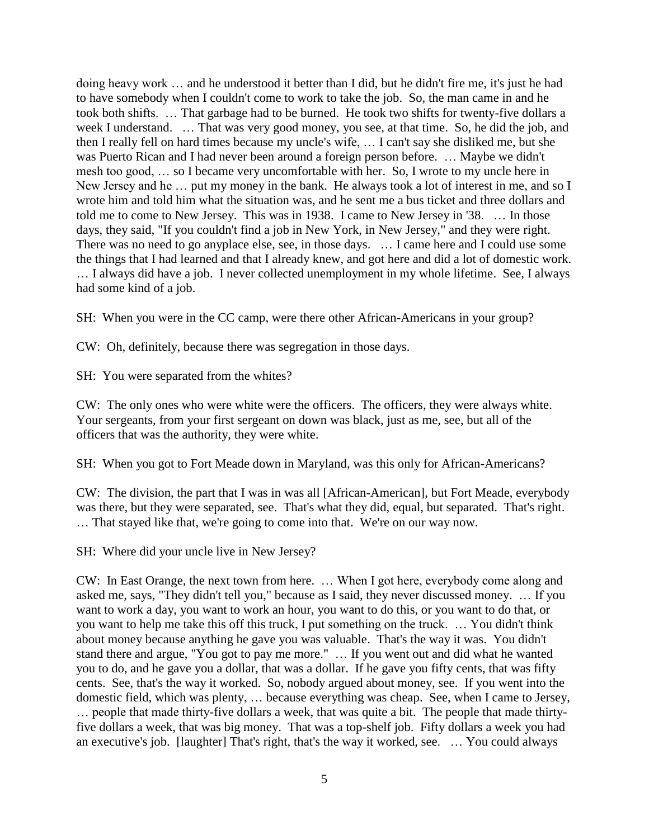doing heavy work … and he understood it better than I did, but he didn't fire me, it's just he had to have somebody when I couldn't come to work to take the job. So, the man came in and he took both shifts. … That garbage had to be burned. He took two shifts for twenty-five dollars a week I understand. … That was very good money, you see, at that time. So, he did the job, and then I really fell on hard times because my uncle's wife, … I can't say she disliked me, but she was Puerto Rican and I had never been around a foreign person before. … Maybe we didn't mesh too good, … so I became very uncomfortable with her. So, I wrote to my uncle here in New Jersey and he … put my money in the bank. He always took a lot of interest in me, and so I wrote him and told him what the situation was, and he sent me a bus ticket and three dollars and told me to come to New Jersey. This was in 1938. I came to New Jersey in '38. … In those days, they said, "If you couldn't find a job in New York, in New Jersey," and they were right. There was no need to go anyplace else, see, in those days. … I came here and I could use some the things that I had learned and that I already knew, and got here and did a lot of domestic work. … I always did have a job. I never collected unemployment in my whole lifetime. See, I always had some kind of a job.

SH: When you were in the CC camp, were there other African-Americans in your group?

CW: Oh, definitely, because there was segregation in those days.

SH: You were separated from the whites?

CW: The only ones who were white were the officers. The officers, they were always white. Your sergeants, from your first sergeant on down was black, just as me, see, but all of the officers that was the authority, they were white.

SH: When you got to Fort Meade down in Maryland, was this only for African-Americans?

CW: The division, the part that I was in was all [African-American], but Fort Meade, everybody was there, but they were separated, see. That's what they did, equal, but separated. That's right. … That stayed like that, we're going to come into that. We're on our way now.

SH: Where did your uncle live in New Jersey?

CW: In East Orange, the next town from here. … When I got here, everybody come along and asked me, says, "They didn't tell you," because as I said, they never discussed money. … If you want to work a day, you want to work an hour, you want to do this, or you want to do that, or you want to help me take this off this truck, I put something on the truck. … You didn't think about money because anything he gave you was valuable. That's the way it was. You didn't stand there and argue, "You got to pay me more." … If you went out and did what he wanted you to do, and he gave you a dollar, that was a dollar. If he gave you fifty cents, that was fifty cents. See, that's the way it worked. So, nobody argued about money, see. If you went into the domestic field, which was plenty, … because everything was cheap. See, when I came to Jersey, … people that made thirty-five dollars a week, that was quite a bit. The people that made thirtyfive dollars a week, that was big money. That was a top-shelf job. Fifty dollars a week you had an executive's job. [laughter] That's right, that's the way it worked, see. … You could always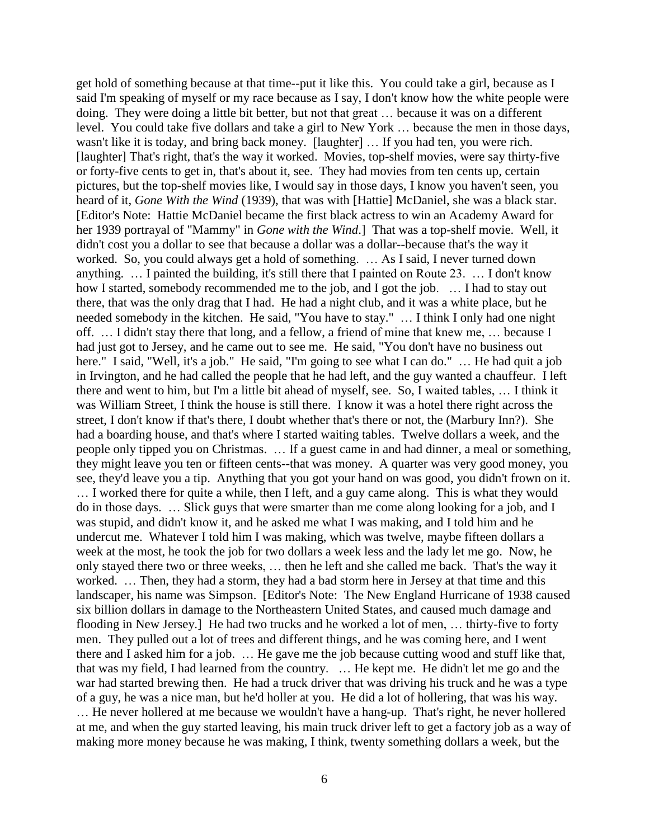get hold of something because at that time--put it like this. You could take a girl, because as I said I'm speaking of myself or my race because as I say, I don't know how the white people were doing. They were doing a little bit better, but not that great … because it was on a different level. You could take five dollars and take a girl to New York … because the men in those days, wasn't like it is today, and bring back money. [laughter] … If you had ten, you were rich. [laughter] That's right, that's the way it worked. Movies, top-shelf movies, were say thirty-five or forty-five cents to get in, that's about it, see. They had movies from ten cents up, certain pictures, but the top-shelf movies like, I would say in those days, I know you haven't seen, you heard of it, *Gone With the Wind* (1939), that was with [Hattie] McDaniel, she was a black star. [Editor's Note: Hattie McDaniel became the first black actress to win an Academy Award for her 1939 portrayal of "Mammy" in *Gone with the Wind*.] That was a top-shelf movie. Well, it didn't cost you a dollar to see that because a dollar was a dollar--because that's the way it worked. So, you could always get a hold of something. … As I said, I never turned down anything. … I painted the building, it's still there that I painted on Route 23. … I don't know how I started, somebody recommended me to the job, and I got the job. … I had to stay out there, that was the only drag that I had. He had a night club, and it was a white place, but he needed somebody in the kitchen. He said, "You have to stay." … I think I only had one night off. … I didn't stay there that long, and a fellow, a friend of mine that knew me, … because I had just got to Jersey, and he came out to see me. He said, "You don't have no business out here." I said, "Well, it's a job." He said, "I'm going to see what I can do." ... He had quit a job in Irvington, and he had called the people that he had left, and the guy wanted a chauffeur. I left there and went to him, but I'm a little bit ahead of myself, see. So, I waited tables, … I think it was William Street, I think the house is still there. I know it was a hotel there right across the street, I don't know if that's there, I doubt whether that's there or not, the (Marbury Inn?). She had a boarding house, and that's where I started waiting tables. Twelve dollars a week, and the people only tipped you on Christmas. … If a guest came in and had dinner, a meal or something, they might leave you ten or fifteen cents--that was money. A quarter was very good money, you see, they'd leave you a tip. Anything that you got your hand on was good, you didn't frown on it. … I worked there for quite a while, then I left, and a guy came along. This is what they would do in those days. … Slick guys that were smarter than me come along looking for a job, and I was stupid, and didn't know it, and he asked me what I was making, and I told him and he undercut me. Whatever I told him I was making, which was twelve, maybe fifteen dollars a week at the most, he took the job for two dollars a week less and the lady let me go. Now, he only stayed there two or three weeks, … then he left and she called me back. That's the way it worked. … Then, they had a storm, they had a bad storm here in Jersey at that time and this landscaper, his name was Simpson. [Editor's Note: The New England Hurricane of 1938 caused six billion dollars in damage to the Northeastern United States, and caused much damage and flooding in New Jersey.] He had two trucks and he worked a lot of men, … thirty-five to forty men. They pulled out a lot of trees and different things, and he was coming here, and I went there and I asked him for a job. … He gave me the job because cutting wood and stuff like that, that was my field, I had learned from the country. … He kept me. He didn't let me go and the war had started brewing then. He had a truck driver that was driving his truck and he was a type of a guy, he was a nice man, but he'd holler at you. He did a lot of hollering, that was his way. … He never hollered at me because we wouldn't have a hang-up. That's right, he never hollered at me, and when the guy started leaving, his main truck driver left to get a factory job as a way of making more money because he was making, I think, twenty something dollars a week, but the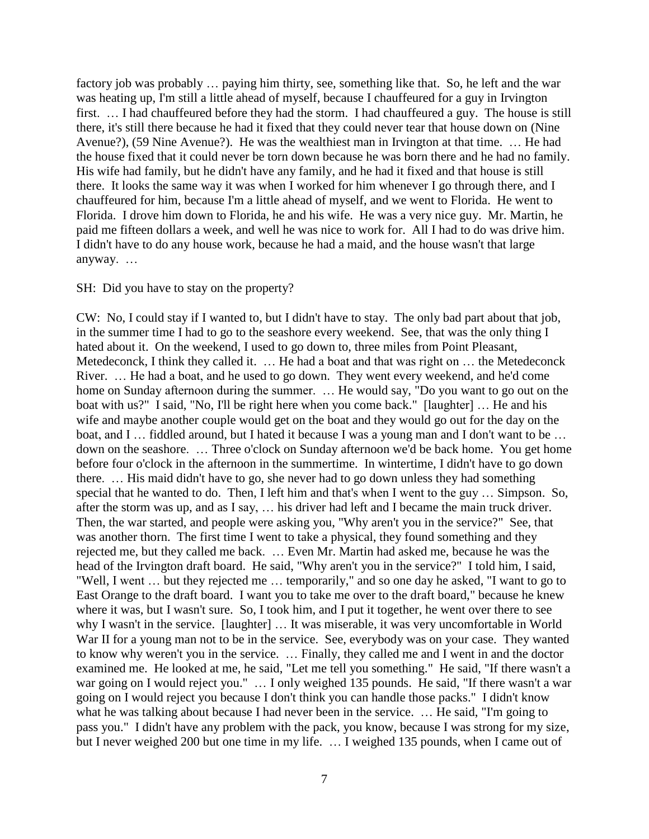factory job was probably … paying him thirty, see, something like that. So, he left and the war was heating up, I'm still a little ahead of myself, because I chauffeured for a guy in Irvington first. … I had chauffeured before they had the storm. I had chauffeured a guy. The house is still there, it's still there because he had it fixed that they could never tear that house down on (Nine Avenue?), (59 Nine Avenue?). He was the wealthiest man in Irvington at that time. … He had the house fixed that it could never be torn down because he was born there and he had no family. His wife had family, but he didn't have any family, and he had it fixed and that house is still there. It looks the same way it was when I worked for him whenever I go through there, and I chauffeured for him, because I'm a little ahead of myself, and we went to Florida. He went to Florida. I drove him down to Florida, he and his wife. He was a very nice guy. Mr. Martin, he paid me fifteen dollars a week, and well he was nice to work for. All I had to do was drive him. I didn't have to do any house work, because he had a maid, and the house wasn't that large anyway. …

#### SH: Did you have to stay on the property?

CW: No, I could stay if I wanted to, but I didn't have to stay. The only bad part about that job, in the summer time I had to go to the seashore every weekend. See, that was the only thing I hated about it. On the weekend, I used to go down to, three miles from Point Pleasant, Metedeconck, I think they called it. … He had a boat and that was right on … the Metedeconck River. … He had a boat, and he used to go down. They went every weekend, and he'd come home on Sunday afternoon during the summer. … He would say, "Do you want to go out on the boat with us?" I said, "No, I'll be right here when you come back." [laughter] … He and his wife and maybe another couple would get on the boat and they would go out for the day on the boat, and I … fiddled around, but I hated it because I was a young man and I don't want to be … down on the seashore. … Three o'clock on Sunday afternoon we'd be back home. You get home before four o'clock in the afternoon in the summertime. In wintertime, I didn't have to go down there. … His maid didn't have to go, she never had to go down unless they had something special that he wanted to do. Then, I left him and that's when I went to the guy … Simpson. So, after the storm was up, and as I say, … his driver had left and I became the main truck driver. Then, the war started, and people were asking you, "Why aren't you in the service?" See, that was another thorn. The first time I went to take a physical, they found something and they rejected me, but they called me back. … Even Mr. Martin had asked me, because he was the head of the Irvington draft board. He said, "Why aren't you in the service?" I told him, I said, "Well, I went … but they rejected me … temporarily," and so one day he asked, "I want to go to East Orange to the draft board. I want you to take me over to the draft board," because he knew where it was, but I wasn't sure. So, I took him, and I put it together, he went over there to see why I wasn't in the service. [laughter] … It was miserable, it was very uncomfortable in World War II for a young man not to be in the service. See, everybody was on your case. They wanted to know why weren't you in the service. … Finally, they called me and I went in and the doctor examined me. He looked at me, he said, "Let me tell you something." He said, "If there wasn't a war going on I would reject you." ... I only weighed 135 pounds. He said, "If there wasn't a war going on I would reject you because I don't think you can handle those packs." I didn't know what he was talking about because I had never been in the service. ... He said, "I'm going to pass you." I didn't have any problem with the pack, you know, because I was strong for my size, but I never weighed 200 but one time in my life. … I weighed 135 pounds, when I came out of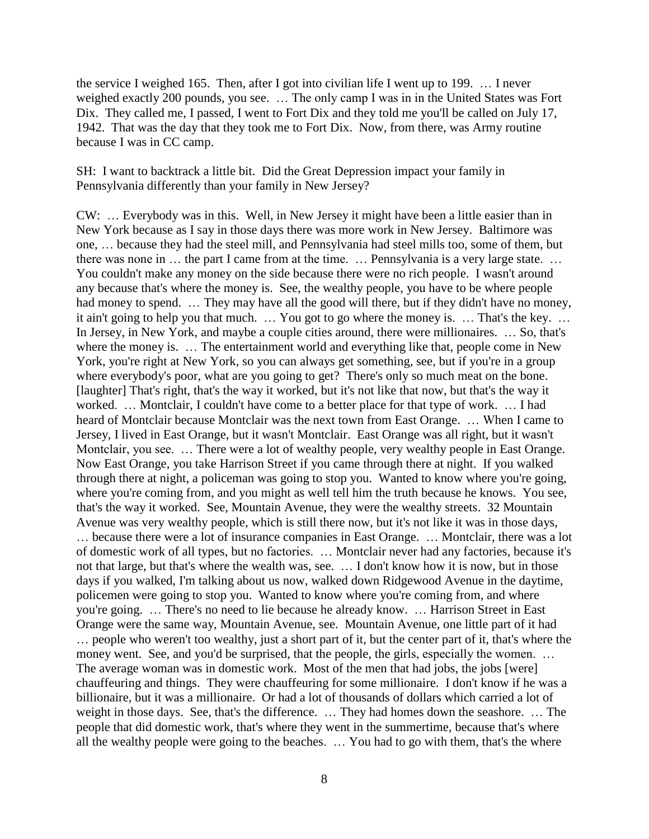the service I weighed 165. Then, after I got into civilian life I went up to 199. … I never weighed exactly 200 pounds, you see. … The only camp I was in in the United States was Fort Dix. They called me, I passed, I went to Fort Dix and they told me you'll be called on July 17, 1942. That was the day that they took me to Fort Dix. Now, from there, was Army routine because I was in CC camp.

SH: I want to backtrack a little bit. Did the Great Depression impact your family in Pennsylvania differently than your family in New Jersey?

CW: … Everybody was in this. Well, in New Jersey it might have been a little easier than in New York because as I say in those days there was more work in New Jersey. Baltimore was one, … because they had the steel mill, and Pennsylvania had steel mills too, some of them, but there was none in … the part I came from at the time. … Pennsylvania is a very large state. … You couldn't make any money on the side because there were no rich people. I wasn't around any because that's where the money is. See, the wealthy people, you have to be where people had money to spend. ... They may have all the good will there, but if they didn't have no money, it ain't going to help you that much. … You got to go where the money is. … That's the key. … In Jersey, in New York, and maybe a couple cities around, there were millionaires. … So, that's where the money is. … The entertainment world and everything like that, people come in New York, you're right at New York, so you can always get something, see, but if you're in a group where everybody's poor, what are you going to get? There's only so much meat on the bone. [laughter] That's right, that's the way it worked, but it's not like that now, but that's the way it worked. … Montclair, I couldn't have come to a better place for that type of work. … I had heard of Montclair because Montclair was the next town from East Orange. … When I came to Jersey, I lived in East Orange, but it wasn't Montclair. East Orange was all right, but it wasn't Montclair, you see. … There were a lot of wealthy people, very wealthy people in East Orange. Now East Orange, you take Harrison Street if you came through there at night. If you walked through there at night, a policeman was going to stop you. Wanted to know where you're going, where you're coming from, and you might as well tell him the truth because he knows. You see, that's the way it worked. See, Mountain Avenue, they were the wealthy streets. 32 Mountain Avenue was very wealthy people, which is still there now, but it's not like it was in those days, … because there were a lot of insurance companies in East Orange. … Montclair, there was a lot of domestic work of all types, but no factories. … Montclair never had any factories, because it's not that large, but that's where the wealth was, see. … I don't know how it is now, but in those days if you walked, I'm talking about us now, walked down Ridgewood Avenue in the daytime, policemen were going to stop you. Wanted to know where you're coming from, and where you're going. … There's no need to lie because he already know. … Harrison Street in East Orange were the same way, Mountain Avenue, see. Mountain Avenue, one little part of it had … people who weren't too wealthy, just a short part of it, but the center part of it, that's where the money went. See, and you'd be surprised, that the people, the girls, especially the women. ... The average woman was in domestic work. Most of the men that had jobs, the jobs [were] chauffeuring and things. They were chauffeuring for some millionaire. I don't know if he was a billionaire, but it was a millionaire. Or had a lot of thousands of dollars which carried a lot of weight in those days. See, that's the difference. … They had homes down the seashore. … The people that did domestic work, that's where they went in the summertime, because that's where all the wealthy people were going to the beaches. … You had to go with them, that's the where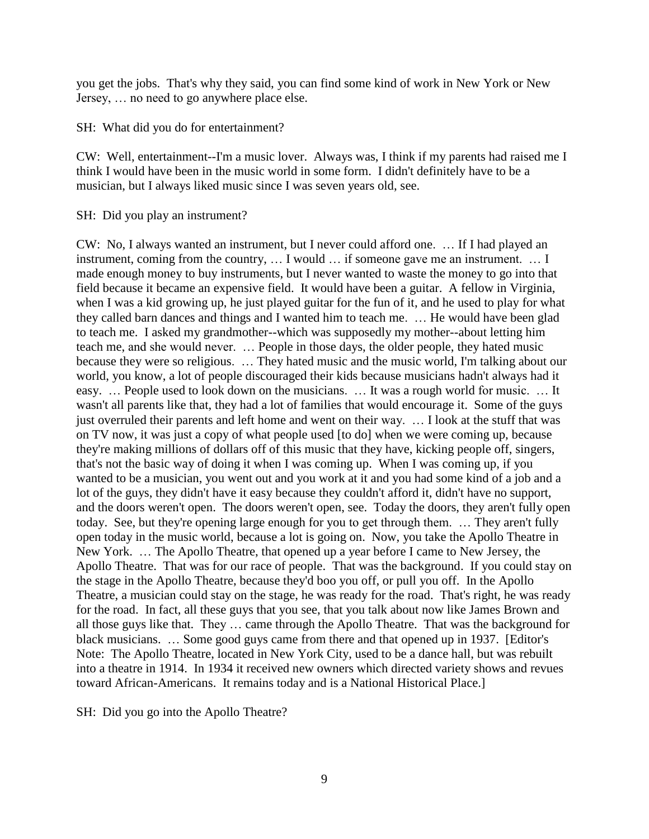you get the jobs. That's why they said, you can find some kind of work in New York or New Jersey, … no need to go anywhere place else.

SH: What did you do for entertainment?

CW: Well, entertainment--I'm a music lover. Always was, I think if my parents had raised me I think I would have been in the music world in some form. I didn't definitely have to be a musician, but I always liked music since I was seven years old, see.

SH: Did you play an instrument?

CW: No, I always wanted an instrument, but I never could afford one. … If I had played an instrument, coming from the country, … I would … if someone gave me an instrument. … I made enough money to buy instruments, but I never wanted to waste the money to go into that field because it became an expensive field. It would have been a guitar. A fellow in Virginia, when I was a kid growing up, he just played guitar for the fun of it, and he used to play for what they called barn dances and things and I wanted him to teach me. … He would have been glad to teach me. I asked my grandmother--which was supposedly my mother--about letting him teach me, and she would never. … People in those days, the older people, they hated music because they were so religious. … They hated music and the music world, I'm talking about our world, you know, a lot of people discouraged their kids because musicians hadn't always had it easy. … People used to look down on the musicians. … It was a rough world for music. … It wasn't all parents like that, they had a lot of families that would encourage it. Some of the guys just overruled their parents and left home and went on their way. … I look at the stuff that was on TV now, it was just a copy of what people used [to do] when we were coming up, because they're making millions of dollars off of this music that they have, kicking people off, singers, that's not the basic way of doing it when I was coming up. When I was coming up, if you wanted to be a musician, you went out and you work at it and you had some kind of a job and a lot of the guys, they didn't have it easy because they couldn't afford it, didn't have no support, and the doors weren't open. The doors weren't open, see. Today the doors, they aren't fully open today. See, but they're opening large enough for you to get through them. … They aren't fully open today in the music world, because a lot is going on. Now, you take the Apollo Theatre in New York. … The Apollo Theatre, that opened up a year before I came to New Jersey, the Apollo Theatre. That was for our race of people. That was the background. If you could stay on the stage in the Apollo Theatre, because they'd boo you off, or pull you off. In the Apollo Theatre, a musician could stay on the stage, he was ready for the road. That's right, he was ready for the road. In fact, all these guys that you see, that you talk about now like James Brown and all those guys like that. They … came through the Apollo Theatre. That was the background for black musicians. … Some good guys came from there and that opened up in 1937. [Editor's Note: The Apollo Theatre, located in New York City, used to be a dance hall, but was rebuilt into a theatre in 1914. In 1934 it received new owners which directed variety shows and revues toward African-Americans. It remains today and is a National Historical Place.]

SH: Did you go into the Apollo Theatre?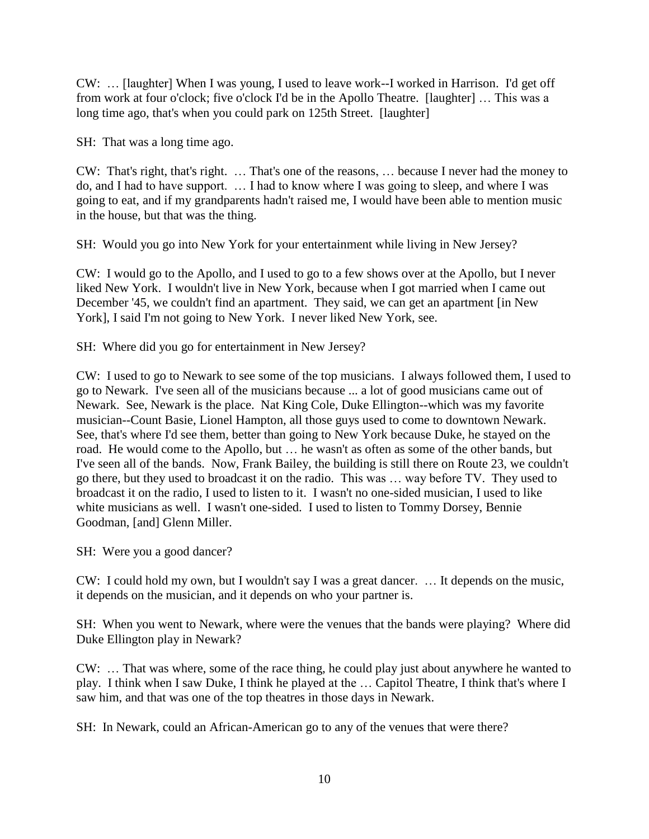CW: … [laughter] When I was young, I used to leave work--I worked in Harrison. I'd get off from work at four o'clock; five o'clock I'd be in the Apollo Theatre. [laughter] … This was a long time ago, that's when you could park on 125th Street. [laughter]

SH: That was a long time ago.

CW: That's right, that's right. … That's one of the reasons, … because I never had the money to do, and I had to have support. … I had to know where I was going to sleep, and where I was going to eat, and if my grandparents hadn't raised me, I would have been able to mention music in the house, but that was the thing.

SH: Would you go into New York for your entertainment while living in New Jersey?

CW: I would go to the Apollo, and I used to go to a few shows over at the Apollo, but I never liked New York. I wouldn't live in New York, because when I got married when I came out December '45, we couldn't find an apartment. They said, we can get an apartment [in New York], I said I'm not going to New York. I never liked New York, see.

SH: Where did you go for entertainment in New Jersey?

CW: I used to go to Newark to see some of the top musicians. I always followed them, I used to go to Newark. I've seen all of the musicians because ... a lot of good musicians came out of Newark. See, Newark is the place. Nat King Cole, Duke Ellington--which was my favorite musician--Count Basie, Lionel Hampton, all those guys used to come to downtown Newark. See, that's where I'd see them, better than going to New York because Duke, he stayed on the road. He would come to the Apollo, but … he wasn't as often as some of the other bands, but I've seen all of the bands. Now, Frank Bailey, the building is still there on Route 23, we couldn't go there, but they used to broadcast it on the radio. This was … way before TV. They used to broadcast it on the radio, I used to listen to it. I wasn't no one-sided musician, I used to like white musicians as well. I wasn't one-sided. I used to listen to Tommy Dorsey, Bennie Goodman, [and] Glenn Miller.

SH: Were you a good dancer?

CW: I could hold my own, but I wouldn't say I was a great dancer. … It depends on the music, it depends on the musician, and it depends on who your partner is.

SH: When you went to Newark, where were the venues that the bands were playing? Where did Duke Ellington play in Newark?

CW: … That was where, some of the race thing, he could play just about anywhere he wanted to play. I think when I saw Duke, I think he played at the … Capitol Theatre, I think that's where I saw him, and that was one of the top theatres in those days in Newark.

SH: In Newark, could an African-American go to any of the venues that were there?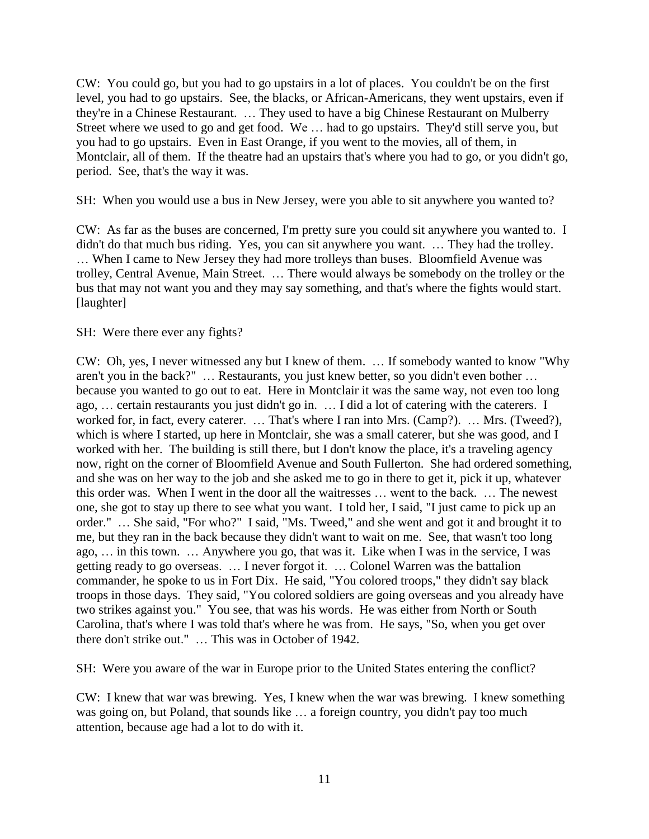CW: You could go, but you had to go upstairs in a lot of places. You couldn't be on the first level, you had to go upstairs. See, the blacks, or African-Americans, they went upstairs, even if they're in a Chinese Restaurant. … They used to have a big Chinese Restaurant on Mulberry Street where we used to go and get food. We … had to go upstairs. They'd still serve you, but you had to go upstairs. Even in East Orange, if you went to the movies, all of them, in Montclair, all of them. If the theatre had an upstairs that's where you had to go, or you didn't go, period. See, that's the way it was.

SH: When you would use a bus in New Jersey, were you able to sit anywhere you wanted to?

CW: As far as the buses are concerned, I'm pretty sure you could sit anywhere you wanted to. I didn't do that much bus riding. Yes, you can sit anywhere you want. … They had the trolley. … When I came to New Jersey they had more trolleys than buses. Bloomfield Avenue was trolley, Central Avenue, Main Street. … There would always be somebody on the trolley or the bus that may not want you and they may say something, and that's where the fights would start. [laughter]

SH: Were there ever any fights?

CW: Oh, yes, I never witnessed any but I knew of them. … If somebody wanted to know "Why aren't you in the back?" … Restaurants, you just knew better, so you didn't even bother … because you wanted to go out to eat. Here in Montclair it was the same way, not even too long ago, … certain restaurants you just didn't go in. … I did a lot of catering with the caterers. I worked for, in fact, every caterer. ... That's where I ran into Mrs. (Camp?). ... Mrs. (Tweed?), which is where I started, up here in Montclair, she was a small caterer, but she was good, and I worked with her. The building is still there, but I don't know the place, it's a traveling agency now, right on the corner of Bloomfield Avenue and South Fullerton. She had ordered something, and she was on her way to the job and she asked me to go in there to get it, pick it up, whatever this order was. When I went in the door all the waitresses … went to the back. … The newest one, she got to stay up there to see what you want. I told her, I said, "I just came to pick up an order." … She said, "For who?" I said, "Ms. Tweed," and she went and got it and brought it to me, but they ran in the back because they didn't want to wait on me. See, that wasn't too long ago, … in this town. … Anywhere you go, that was it. Like when I was in the service, I was getting ready to go overseas. … I never forgot it. … Colonel Warren was the battalion commander, he spoke to us in Fort Dix. He said, "You colored troops," they didn't say black troops in those days. They said, "You colored soldiers are going overseas and you already have two strikes against you." You see, that was his words. He was either from North or South Carolina, that's where I was told that's where he was from. He says, "So, when you get over there don't strike out." … This was in October of 1942.

SH: Were you aware of the war in Europe prior to the United States entering the conflict?

CW: I knew that war was brewing. Yes, I knew when the war was brewing. I knew something was going on, but Poland, that sounds like … a foreign country, you didn't pay too much attention, because age had a lot to do with it.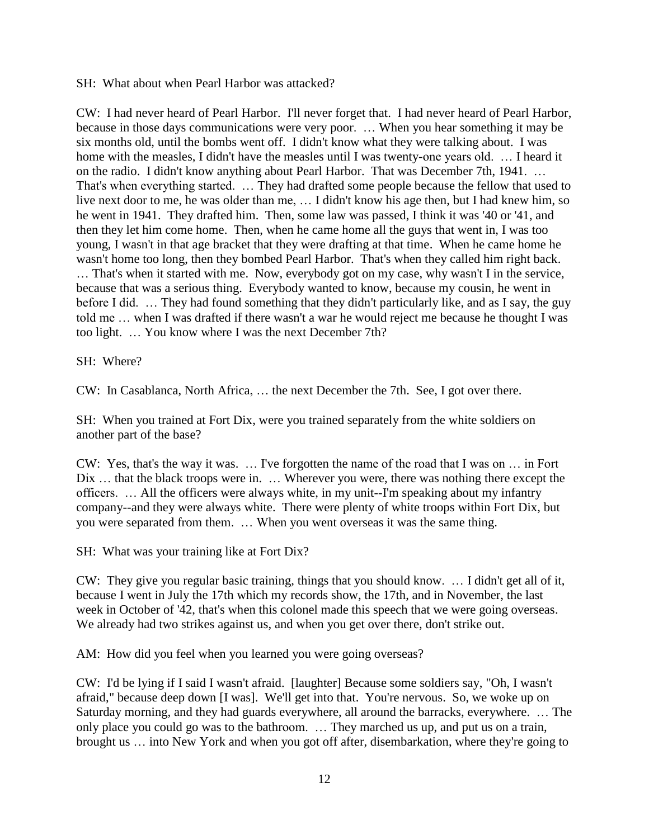SH: What about when Pearl Harbor was attacked?

CW: I had never heard of Pearl Harbor. I'll never forget that. I had never heard of Pearl Harbor, because in those days communications were very poor. … When you hear something it may be six months old, until the bombs went off. I didn't know what they were talking about. I was home with the measles, I didn't have the measles until I was twenty-one years old. … I heard it on the radio. I didn't know anything about Pearl Harbor. That was December 7th, 1941. … That's when everything started. … They had drafted some people because the fellow that used to live next door to me, he was older than me, … I didn't know his age then, but I had knew him, so he went in 1941. They drafted him. Then, some law was passed, I think it was '40 or '41, and then they let him come home. Then, when he came home all the guys that went in, I was too young, I wasn't in that age bracket that they were drafting at that time. When he came home he wasn't home too long, then they bombed Pearl Harbor. That's when they called him right back. … That's when it started with me. Now, everybody got on my case, why wasn't I in the service, because that was a serious thing. Everybody wanted to know, because my cousin, he went in before I did. … They had found something that they didn't particularly like, and as I say, the guy told me … when I was drafted if there wasn't a war he would reject me because he thought I was too light. … You know where I was the next December 7th?

SH: Where?

CW: In Casablanca, North Africa, … the next December the 7th. See, I got over there.

SH: When you trained at Fort Dix, were you trained separately from the white soldiers on another part of the base?

CW: Yes, that's the way it was. … I've forgotten the name of the road that I was on … in Fort Dix ... that the black troops were in. ... Wherever you were, there was nothing there except the officers. … All the officers were always white, in my unit--I'm speaking about my infantry company--and they were always white. There were plenty of white troops within Fort Dix, but you were separated from them. … When you went overseas it was the same thing.

SH: What was your training like at Fort Dix?

CW: They give you regular basic training, things that you should know. … I didn't get all of it, because I went in July the 17th which my records show, the 17th, and in November, the last week in October of '42, that's when this colonel made this speech that we were going overseas. We already had two strikes against us, and when you get over there, don't strike out.

AM: How did you feel when you learned you were going overseas?

CW: I'd be lying if I said I wasn't afraid. [laughter] Because some soldiers say, "Oh, I wasn't afraid," because deep down [I was]. We'll get into that. You're nervous. So, we woke up on Saturday morning, and they had guards everywhere, all around the barracks, everywhere. … The only place you could go was to the bathroom. … They marched us up, and put us on a train, brought us … into New York and when you got off after, disembarkation, where they're going to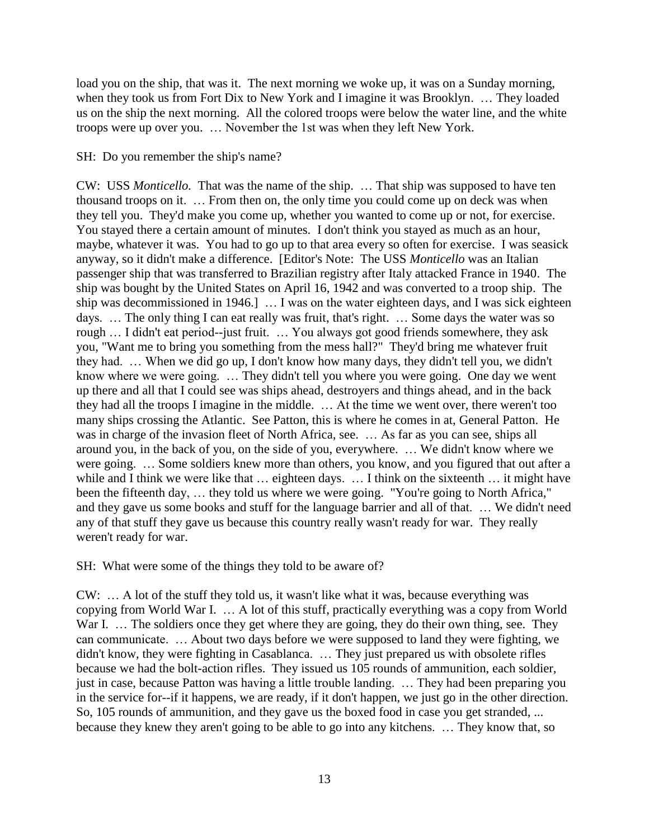load you on the ship, that was it. The next morning we woke up, it was on a Sunday morning, when they took us from Fort Dix to New York and I imagine it was Brooklyn. … They loaded us on the ship the next morning. All the colored troops were below the water line, and the white troops were up over you. … November the 1st was when they left New York.

SH: Do you remember the ship's name?

CW: USS *Monticello.* That was the name of the ship. … That ship was supposed to have ten thousand troops on it. … From then on, the only time you could come up on deck was when they tell you. They'd make you come up, whether you wanted to come up or not, for exercise. You stayed there a certain amount of minutes. I don't think you stayed as much as an hour, maybe, whatever it was. You had to go up to that area every so often for exercise. I was seasick anyway, so it didn't make a difference. [Editor's Note: The USS *Monticello* was an Italian passenger ship that was transferred to Brazilian registry after Italy attacked France in 1940. The ship was bought by the United States on April 16, 1942 and was converted to a troop ship. The ship was decommissioned in 1946.] … I was on the water eighteen days, and I was sick eighteen days. … The only thing I can eat really was fruit, that's right. … Some days the water was so rough … I didn't eat period--just fruit. … You always got good friends somewhere, they ask you, "Want me to bring you something from the mess hall?" They'd bring me whatever fruit they had. … When we did go up, I don't know how many days, they didn't tell you, we didn't know where we were going. … They didn't tell you where you were going. One day we went up there and all that I could see was ships ahead, destroyers and things ahead, and in the back they had all the troops I imagine in the middle. … At the time we went over, there weren't too many ships crossing the Atlantic. See Patton, this is where he comes in at, General Patton. He was in charge of the invasion fleet of North Africa, see. … As far as you can see, ships all around you, in the back of you, on the side of you, everywhere. … We didn't know where we were going. … Some soldiers knew more than others, you know, and you figured that out after a while and I think we were like that ... eighteen days. ... I think on the sixteenth ... it might have been the fifteenth day, ... they told us where we were going. "You're going to North Africa," and they gave us some books and stuff for the language barrier and all of that. … We didn't need any of that stuff they gave us because this country really wasn't ready for war. They really weren't ready for war.

SH: What were some of the things they told to be aware of?

CW: … A lot of the stuff they told us, it wasn't like what it was, because everything was copying from World War I. … A lot of this stuff, practically everything was a copy from World War I. ... The soldiers once they get where they are going, they do their own thing, see. They can communicate. … About two days before we were supposed to land they were fighting, we didn't know, they were fighting in Casablanca. … They just prepared us with obsolete rifles because we had the bolt-action rifles. They issued us 105 rounds of ammunition, each soldier, just in case, because Patton was having a little trouble landing. … They had been preparing you in the service for--if it happens, we are ready, if it don't happen, we just go in the other direction. So, 105 rounds of ammunition, and they gave us the boxed food in case you get stranded, ... because they knew they aren't going to be able to go into any kitchens. … They know that, so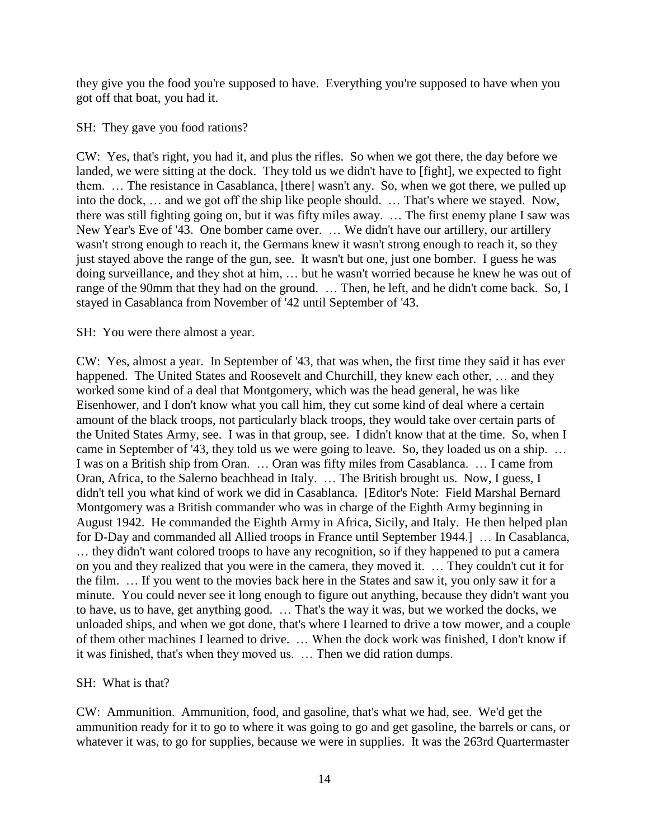they give you the food you're supposed to have. Everything you're supposed to have when you got off that boat, you had it.

## SH: They gave you food rations?

CW: Yes, that's right, you had it, and plus the rifles. So when we got there, the day before we landed, we were sitting at the dock. They told us we didn't have to [fight], we expected to fight them. … The resistance in Casablanca, [there] wasn't any. So, when we got there, we pulled up into the dock, … and we got off the ship like people should. … That's where we stayed. Now, there was still fighting going on, but it was fifty miles away. … The first enemy plane I saw was New Year's Eve of '43. One bomber came over. … We didn't have our artillery, our artillery wasn't strong enough to reach it, the Germans knew it wasn't strong enough to reach it, so they just stayed above the range of the gun, see. It wasn't but one, just one bomber. I guess he was doing surveillance, and they shot at him, … but he wasn't worried because he knew he was out of range of the 90mm that they had on the ground. … Then, he left, and he didn't come back. So, I stayed in Casablanca from November of '42 until September of '43.

## SH: You were there almost a year.

CW: Yes, almost a year. In September of '43, that was when, the first time they said it has ever happened. The United States and Roosevelt and Churchill, they knew each other, ... and they worked some kind of a deal that Montgomery, which was the head general, he was like Eisenhower, and I don't know what you call him, they cut some kind of deal where a certain amount of the black troops, not particularly black troops, they would take over certain parts of the United States Army, see. I was in that group, see. I didn't know that at the time. So, when I came in September of '43, they told us we were going to leave. So, they loaded us on a ship. … I was on a British ship from Oran. … Oran was fifty miles from Casablanca. … I came from Oran, Africa, to the Salerno beachhead in Italy. … The British brought us. Now, I guess, I didn't tell you what kind of work we did in Casablanca. [Editor's Note: Field Marshal Bernard Montgomery was a British commander who was in charge of the Eighth Army beginning in August 1942. He commanded the Eighth Army in Africa, Sicily, and Italy. He then helped plan for D-Day and commanded all Allied troops in France until September 1944.] … In Casablanca, … they didn't want colored troops to have any recognition, so if they happened to put a camera on you and they realized that you were in the camera, they moved it. … They couldn't cut it for the film. … If you went to the movies back here in the States and saw it, you only saw it for a minute. You could never see it long enough to figure out anything, because they didn't want you to have, us to have, get anything good. … That's the way it was, but we worked the docks, we unloaded ships, and when we got done, that's where I learned to drive a tow mower, and a couple of them other machines I learned to drive. … When the dock work was finished, I don't know if it was finished, that's when they moved us. … Then we did ration dumps.

## SH: What is that?

CW: Ammunition. Ammunition, food, and gasoline, that's what we had, see. We'd get the ammunition ready for it to go to where it was going to go and get gasoline, the barrels or cans, or whatever it was, to go for supplies, because we were in supplies. It was the 263rd Quartermaster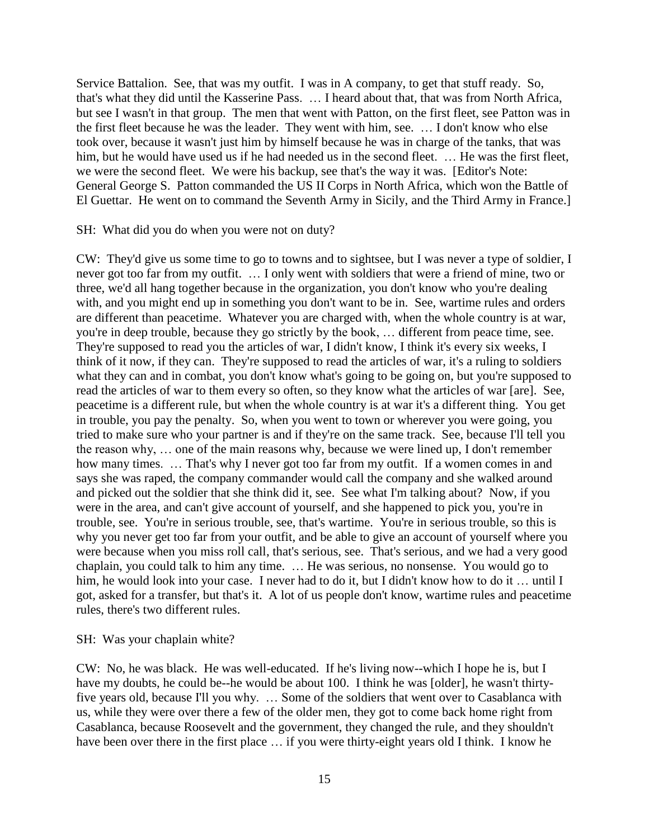Service Battalion. See, that was my outfit. I was in A company, to get that stuff ready. So, that's what they did until the Kasserine Pass. … I heard about that, that was from North Africa, but see I wasn't in that group. The men that went with Patton, on the first fleet, see Patton was in the first fleet because he was the leader. They went with him, see. … I don't know who else took over, because it wasn't just him by himself because he was in charge of the tanks, that was him, but he would have used us if he had needed us in the second fleet. ... He was the first fleet, we were the second fleet. We were his backup, see that's the way it was. [Editor's Note: General George S. Patton commanded the US II Corps in North Africa, which won the Battle of El Guettar. He went on to command the Seventh Army in Sicily, and the Third Army in France.]

SH: What did you do when you were not on duty?

CW: They'd give us some time to go to towns and to sightsee, but I was never a type of soldier, I never got too far from my outfit. … I only went with soldiers that were a friend of mine, two or three, we'd all hang together because in the organization, you don't know who you're dealing with, and you might end up in something you don't want to be in. See, wartime rules and orders are different than peacetime. Whatever you are charged with, when the whole country is at war, you're in deep trouble, because they go strictly by the book, … different from peace time, see. They're supposed to read you the articles of war, I didn't know, I think it's every six weeks, I think of it now, if they can. They're supposed to read the articles of war, it's a ruling to soldiers what they can and in combat, you don't know what's going to be going on, but you're supposed to read the articles of war to them every so often, so they know what the articles of war [are]. See, peacetime is a different rule, but when the whole country is at war it's a different thing. You get in trouble, you pay the penalty. So, when you went to town or wherever you were going, you tried to make sure who your partner is and if they're on the same track. See, because I'll tell you the reason why, … one of the main reasons why, because we were lined up, I don't remember how many times. ... That's why I never got too far from my outfit. If a women comes in and says she was raped, the company commander would call the company and she walked around and picked out the soldier that she think did it, see. See what I'm talking about? Now, if you were in the area, and can't give account of yourself, and she happened to pick you, you're in trouble, see. You're in serious trouble, see, that's wartime. You're in serious trouble, so this is why you never get too far from your outfit, and be able to give an account of yourself where you were because when you miss roll call, that's serious, see. That's serious, and we had a very good chaplain, you could talk to him any time. … He was serious, no nonsense. You would go to him, he would look into your case. I never had to do it, but I didn't know how to do it ... until I got, asked for a transfer, but that's it. A lot of us people don't know, wartime rules and peacetime rules, there's two different rules.

## SH: Was your chaplain white?

CW: No, he was black. He was well-educated. If he's living now--which I hope he is, but I have my doubts, he could be--he would be about 100. I think he was [older], he wasn't thirtyfive years old, because I'll you why. … Some of the soldiers that went over to Casablanca with us, while they were over there a few of the older men, they got to come back home right from Casablanca, because Roosevelt and the government, they changed the rule, and they shouldn't have been over there in the first place … if you were thirty-eight years old I think. I know he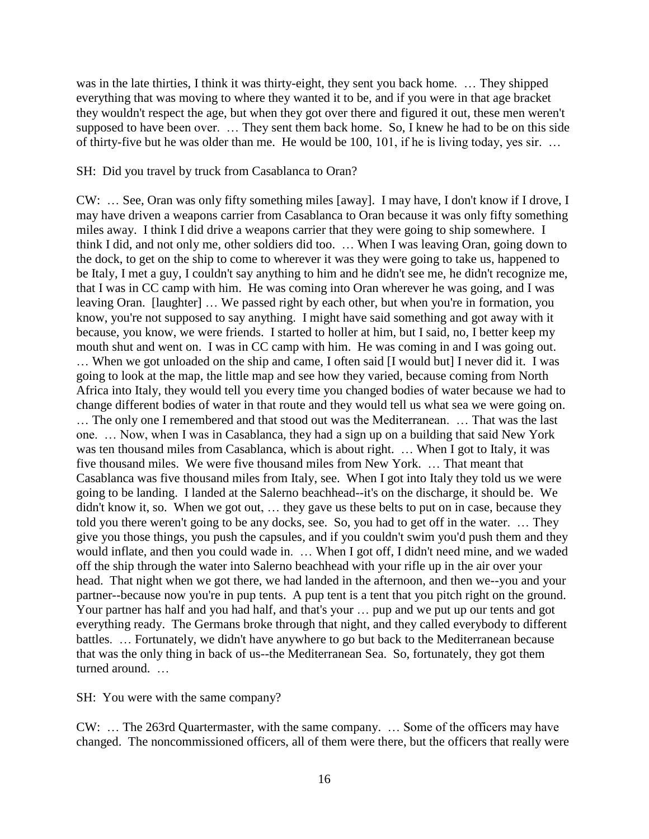was in the late thirties, I think it was thirty-eight, they sent you back home. … They shipped everything that was moving to where they wanted it to be, and if you were in that age bracket they wouldn't respect the age, but when they got over there and figured it out, these men weren't supposed to have been over. … They sent them back home. So, I knew he had to be on this side of thirty-five but he was older than me. He would be 100, 101, if he is living today, yes sir. …

### SH: Did you travel by truck from Casablanca to Oran?

CW: … See, Oran was only fifty something miles [away]. I may have, I don't know if I drove, I may have driven a weapons carrier from Casablanca to Oran because it was only fifty something miles away. I think I did drive a weapons carrier that they were going to ship somewhere. I think I did, and not only me, other soldiers did too. … When I was leaving Oran, going down to the dock, to get on the ship to come to wherever it was they were going to take us, happened to be Italy, I met a guy, I couldn't say anything to him and he didn't see me, he didn't recognize me, that I was in CC camp with him. He was coming into Oran wherever he was going, and I was leaving Oran. [laughter] … We passed right by each other, but when you're in formation, you know, you're not supposed to say anything. I might have said something and got away with it because, you know, we were friends. I started to holler at him, but I said, no, I better keep my mouth shut and went on. I was in CC camp with him. He was coming in and I was going out. … When we got unloaded on the ship and came, I often said [I would but] I never did it. I was going to look at the map, the little map and see how they varied, because coming from North Africa into Italy, they would tell you every time you changed bodies of water because we had to change different bodies of water in that route and they would tell us what sea we were going on. … The only one I remembered and that stood out was the Mediterranean. … That was the last one. … Now, when I was in Casablanca, they had a sign up on a building that said New York was ten thousand miles from Casablanca, which is about right. … When I got to Italy, it was five thousand miles. We were five thousand miles from New York. … That meant that Casablanca was five thousand miles from Italy, see. When I got into Italy they told us we were going to be landing. I landed at the Salerno beachhead--it's on the discharge, it should be. We didn't know it, so. When we got out, … they gave us these belts to put on in case, because they told you there weren't going to be any docks, see. So, you had to get off in the water. … They give you those things, you push the capsules, and if you couldn't swim you'd push them and they would inflate, and then you could wade in. … When I got off, I didn't need mine, and we waded off the ship through the water into Salerno beachhead with your rifle up in the air over your head. That night when we got there, we had landed in the afternoon, and then we--you and your partner--because now you're in pup tents. A pup tent is a tent that you pitch right on the ground. Your partner has half and you had half, and that's your … pup and we put up our tents and got everything ready. The Germans broke through that night, and they called everybody to different battles. … Fortunately, we didn't have anywhere to go but back to the Mediterranean because that was the only thing in back of us--the Mediterranean Sea. So, fortunately, they got them turned around. …

SH: You were with the same company?

CW: … The 263rd Quartermaster, with the same company. … Some of the officers may have changed. The noncommissioned officers, all of them were there, but the officers that really were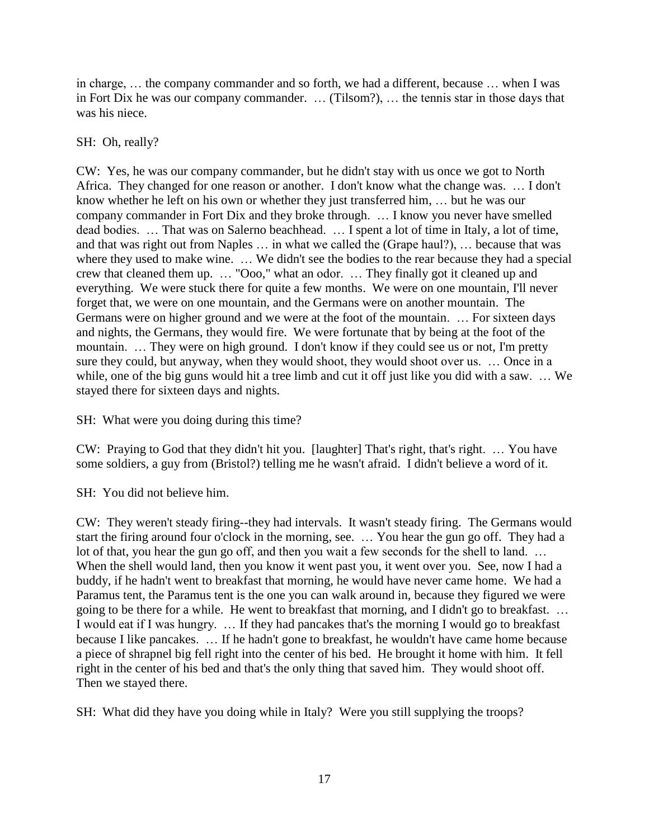in charge, … the company commander and so forth, we had a different, because … when I was in Fort Dix he was our company commander. … (Tilsom?), … the tennis star in those days that was his niece.

# SH: Oh, really?

CW: Yes, he was our company commander, but he didn't stay with us once we got to North Africa. They changed for one reason or another. I don't know what the change was. … I don't know whether he left on his own or whether they just transferred him, … but he was our company commander in Fort Dix and they broke through. … I know you never have smelled dead bodies. … That was on Salerno beachhead. … I spent a lot of time in Italy, a lot of time, and that was right out from Naples … in what we called the (Grape haul?), … because that was where they used to make wine. … We didn't see the bodies to the rear because they had a special crew that cleaned them up. … "Ooo," what an odor. … They finally got it cleaned up and everything. We were stuck there for quite a few months. We were on one mountain, I'll never forget that, we were on one mountain, and the Germans were on another mountain. The Germans were on higher ground and we were at the foot of the mountain. … For sixteen days and nights, the Germans, they would fire. We were fortunate that by being at the foot of the mountain. … They were on high ground. I don't know if they could see us or not, I'm pretty sure they could, but anyway, when they would shoot, they would shoot over us. … Once in a while, one of the big guns would hit a tree limb and cut it off just like you did with a saw. ... We stayed there for sixteen days and nights.

SH: What were you doing during this time?

CW: Praying to God that they didn't hit you. [laughter] That's right, that's right. … You have some soldiers, a guy from (Bristol?) telling me he wasn't afraid. I didn't believe a word of it.

SH: You did not believe him.

CW: They weren't steady firing--they had intervals. It wasn't steady firing. The Germans would start the firing around four o'clock in the morning, see. … You hear the gun go off. They had a lot of that, you hear the gun go off, and then you wait a few seconds for the shell to land. … When the shell would land, then you know it went past you, it went over you. See, now I had a buddy, if he hadn't went to breakfast that morning, he would have never came home. We had a Paramus tent, the Paramus tent is the one you can walk around in, because they figured we were going to be there for a while. He went to breakfast that morning, and I didn't go to breakfast. … I would eat if I was hungry. … If they had pancakes that's the morning I would go to breakfast because I like pancakes. … If he hadn't gone to breakfast, he wouldn't have came home because a piece of shrapnel big fell right into the center of his bed. He brought it home with him. It fell right in the center of his bed and that's the only thing that saved him. They would shoot off. Then we stayed there.

SH: What did they have you doing while in Italy? Were you still supplying the troops?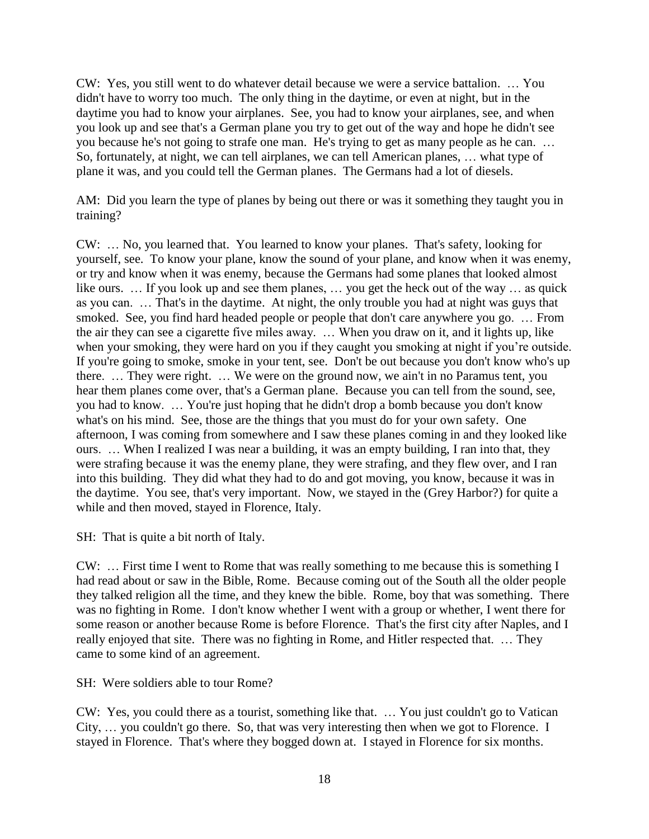CW: Yes, you still went to do whatever detail because we were a service battalion. … You didn't have to worry too much. The only thing in the daytime, or even at night, but in the daytime you had to know your airplanes. See, you had to know your airplanes, see, and when you look up and see that's a German plane you try to get out of the way and hope he didn't see you because he's not going to strafe one man. He's trying to get as many people as he can. … So, fortunately, at night, we can tell airplanes, we can tell American planes, … what type of plane it was, and you could tell the German planes. The Germans had a lot of diesels.

AM: Did you learn the type of planes by being out there or was it something they taught you in training?

CW: … No, you learned that. You learned to know your planes. That's safety, looking for yourself, see. To know your plane, know the sound of your plane, and know when it was enemy, or try and know when it was enemy, because the Germans had some planes that looked almost like ours. … If you look up and see them planes, … you get the heck out of the way … as quick as you can. … That's in the daytime. At night, the only trouble you had at night was guys that smoked. See, you find hard headed people or people that don't care anywhere you go. … From the air they can see a cigarette five miles away. … When you draw on it, and it lights up, like when your smoking, they were hard on you if they caught you smoking at night if you're outside. If you're going to smoke, smoke in your tent, see. Don't be out because you don't know who's up there. … They were right. … We were on the ground now, we ain't in no Paramus tent, you hear them planes come over, that's a German plane. Because you can tell from the sound, see, you had to know. … You're just hoping that he didn't drop a bomb because you don't know what's on his mind. See, those are the things that you must do for your own safety. One afternoon, I was coming from somewhere and I saw these planes coming in and they looked like ours. … When I realized I was near a building, it was an empty building, I ran into that, they were strafing because it was the enemy plane, they were strafing, and they flew over, and I ran into this building. They did what they had to do and got moving, you know, because it was in the daytime. You see, that's very important. Now, we stayed in the (Grey Harbor?) for quite a while and then moved, stayed in Florence, Italy.

SH: That is quite a bit north of Italy.

CW: … First time I went to Rome that was really something to me because this is something I had read about or saw in the Bible, Rome. Because coming out of the South all the older people they talked religion all the time, and they knew the bible. Rome, boy that was something. There was no fighting in Rome. I don't know whether I went with a group or whether, I went there for some reason or another because Rome is before Florence. That's the first city after Naples, and I really enjoyed that site. There was no fighting in Rome, and Hitler respected that. … They came to some kind of an agreement.

SH: Were soldiers able to tour Rome?

CW: Yes, you could there as a tourist, something like that. … You just couldn't go to Vatican City, … you couldn't go there. So, that was very interesting then when we got to Florence. I stayed in Florence. That's where they bogged down at. I stayed in Florence for six months.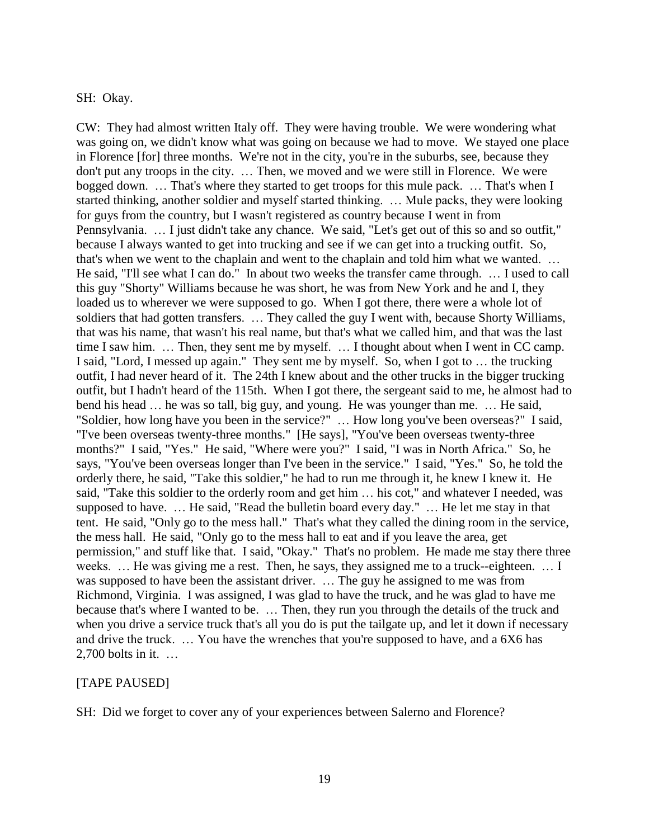### SH: Okay.

CW: They had almost written Italy off. They were having trouble. We were wondering what was going on, we didn't know what was going on because we had to move. We stayed one place in Florence [for] three months. We're not in the city, you're in the suburbs, see, because they don't put any troops in the city. … Then, we moved and we were still in Florence. We were bogged down. … That's where they started to get troops for this mule pack. … That's when I started thinking, another soldier and myself started thinking. … Mule packs, they were looking for guys from the country, but I wasn't registered as country because I went in from Pennsylvania. … I just didn't take any chance. We said, "Let's get out of this so and so outfit," because I always wanted to get into trucking and see if we can get into a trucking outfit. So, that's when we went to the chaplain and went to the chaplain and told him what we wanted. … He said, "I'll see what I can do." In about two weeks the transfer came through. … I used to call this guy "Shorty" Williams because he was short, he was from New York and he and I, they loaded us to wherever we were supposed to go. When I got there, there were a whole lot of soldiers that had gotten transfers. … They called the guy I went with, because Shorty Williams, that was his name, that wasn't his real name, but that's what we called him, and that was the last time I saw him. … Then, they sent me by myself. … I thought about when I went in CC camp. I said, "Lord, I messed up again." They sent me by myself. So, when I got to … the trucking outfit, I had never heard of it. The 24th I knew about and the other trucks in the bigger trucking outfit, but I hadn't heard of the 115th. When I got there, the sergeant said to me, he almost had to bend his head … he was so tall, big guy, and young. He was younger than me. … He said, "Soldier, how long have you been in the service?" … How long you've been overseas?" I said, "I've been overseas twenty-three months." [He says], "You've been overseas twenty-three months?" I said, "Yes." He said, "Where were you?" I said, "I was in North Africa." So, he says, "You've been overseas longer than I've been in the service." I said, "Yes." So, he told the orderly there, he said, "Take this soldier," he had to run me through it, he knew I knew it. He said, "Take this soldier to the orderly room and get him … his cot," and whatever I needed, was supposed to have. … He said, "Read the bulletin board every day." … He let me stay in that tent. He said, "Only go to the mess hall." That's what they called the dining room in the service, the mess hall. He said, "Only go to the mess hall to eat and if you leave the area, get permission," and stuff like that. I said, "Okay." That's no problem. He made me stay there three weeks. … He was giving me a rest. Then, he says, they assigned me to a truck--eighteen. … I was supposed to have been the assistant driver. … The guy he assigned to me was from Richmond, Virginia. I was assigned, I was glad to have the truck, and he was glad to have me because that's where I wanted to be. … Then, they run you through the details of the truck and when you drive a service truck that's all you do is put the tailgate up, and let it down if necessary and drive the truck. … You have the wrenches that you're supposed to have, and a 6X6 has 2,700 bolts in it. …

### [TAPE PAUSED]

SH: Did we forget to cover any of your experiences between Salerno and Florence?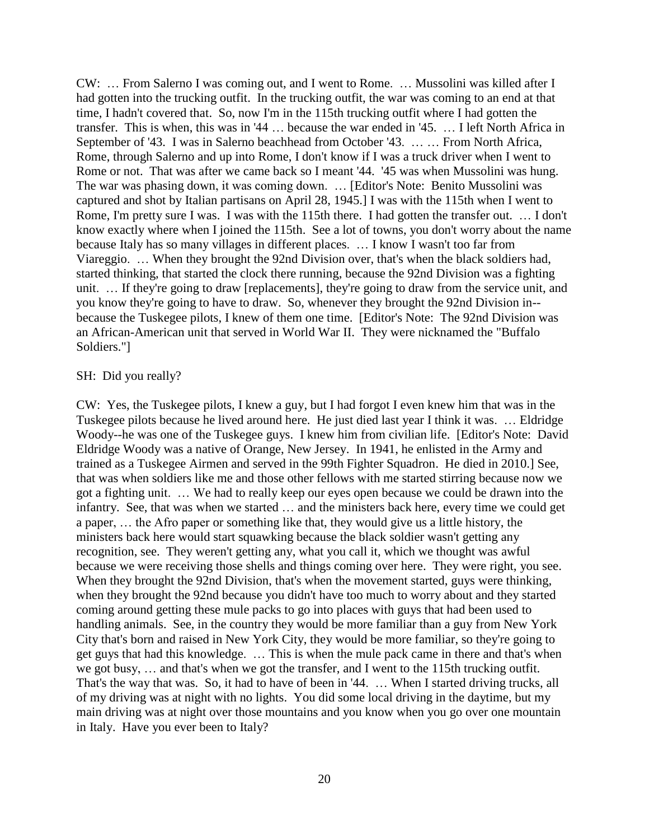CW: … From Salerno I was coming out, and I went to Rome. … Mussolini was killed after I had gotten into the trucking outfit. In the trucking outfit, the war was coming to an end at that time, I hadn't covered that. So, now I'm in the 115th trucking outfit where I had gotten the transfer. This is when, this was in '44 … because the war ended in '45. … I left North Africa in September of '43. I was in Salerno beachhead from October '43. … … From North Africa, Rome, through Salerno and up into Rome, I don't know if I was a truck driver when I went to Rome or not. That was after we came back so I meant '44. '45 was when Mussolini was hung. The war was phasing down, it was coming down. … [Editor's Note: Benito Mussolini was captured and shot by Italian partisans on April 28, 1945.] I was with the 115th when I went to Rome, I'm pretty sure I was. I was with the 115th there. I had gotten the transfer out. … I don't know exactly where when I joined the 115th. See a lot of towns, you don't worry about the name because Italy has so many villages in different places. … I know I wasn't too far from Viareggio. … When they brought the 92nd Division over, that's when the black soldiers had, started thinking, that started the clock there running, because the 92nd Division was a fighting unit. … If they're going to draw [replacements], they're going to draw from the service unit, and you know they're going to have to draw. So, whenever they brought the 92nd Division in- because the Tuskegee pilots, I knew of them one time. [Editor's Note: The 92nd Division was an African-American unit that served in World War II. They were nicknamed the "Buffalo Soldiers."]

### SH: Did you really?

CW: Yes, the Tuskegee pilots, I knew a guy, but I had forgot I even knew him that was in the Tuskegee pilots because he lived around here. He just died last year I think it was. … Eldridge Woody--he was one of the Tuskegee guys. I knew him from civilian life. [Editor's Note: David Eldridge Woody was a native of Orange, New Jersey. In 1941, he enlisted in the Army and trained as a Tuskegee Airmen and served in the 99th Fighter Squadron. He died in 2010.] See, that was when soldiers like me and those other fellows with me started stirring because now we got a fighting unit. … We had to really keep our eyes open because we could be drawn into the infantry. See, that was when we started … and the ministers back here, every time we could get a paper, … the Afro paper or something like that, they would give us a little history, the ministers back here would start squawking because the black soldier wasn't getting any recognition, see. They weren't getting any, what you call it, which we thought was awful because we were receiving those shells and things coming over here. They were right, you see. When they brought the 92nd Division, that's when the movement started, guys were thinking, when they brought the 92nd because you didn't have too much to worry about and they started coming around getting these mule packs to go into places with guys that had been used to handling animals. See, in the country they would be more familiar than a guy from New York City that's born and raised in New York City, they would be more familiar, so they're going to get guys that had this knowledge. … This is when the mule pack came in there and that's when we got busy, … and that's when we got the transfer, and I went to the 115th trucking outfit. That's the way that was. So, it had to have of been in '44. … When I started driving trucks, all of my driving was at night with no lights. You did some local driving in the daytime, but my main driving was at night over those mountains and you know when you go over one mountain in Italy. Have you ever been to Italy?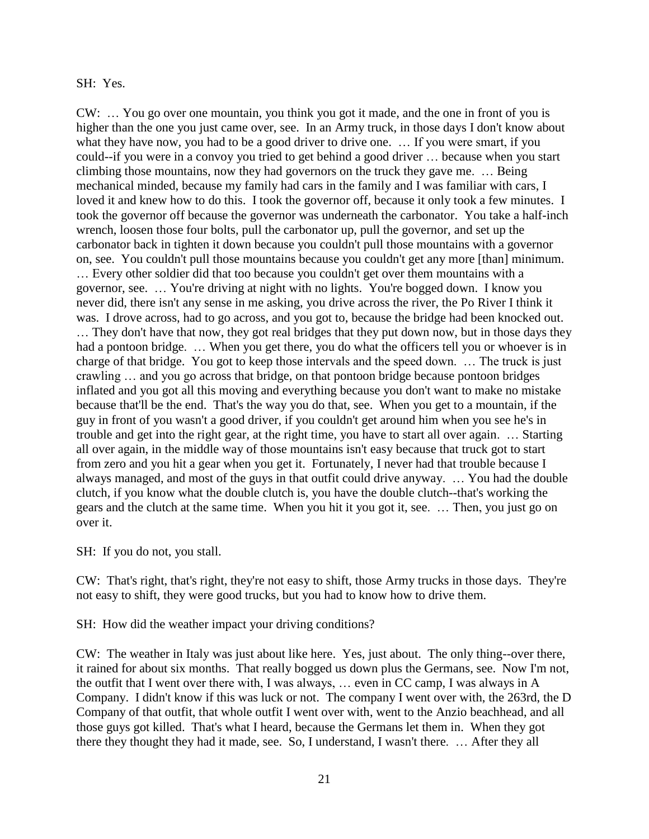### SH: Yes.

CW: … You go over one mountain, you think you got it made, and the one in front of you is higher than the one you just came over, see. In an Army truck, in those days I don't know about what they have now, you had to be a good driver to drive one. ... If you were smart, if you could--if you were in a convoy you tried to get behind a good driver … because when you start climbing those mountains, now they had governors on the truck they gave me. … Being mechanical minded, because my family had cars in the family and I was familiar with cars, I loved it and knew how to do this. I took the governor off, because it only took a few minutes. I took the governor off because the governor was underneath the carbonator. You take a half-inch wrench, loosen those four bolts, pull the carbonator up, pull the governor, and set up the carbonator back in tighten it down because you couldn't pull those mountains with a governor on, see. You couldn't pull those mountains because you couldn't get any more [than] minimum. … Every other soldier did that too because you couldn't get over them mountains with a governor, see. … You're driving at night with no lights. You're bogged down. I know you never did, there isn't any sense in me asking, you drive across the river, the Po River I think it was. I drove across, had to go across, and you got to, because the bridge had been knocked out. … They don't have that now, they got real bridges that they put down now, but in those days they had a pontoon bridge. ... When you get there, you do what the officers tell you or whoever is in charge of that bridge. You got to keep those intervals and the speed down. … The truck is just crawling … and you go across that bridge, on that pontoon bridge because pontoon bridges inflated and you got all this moving and everything because you don't want to make no mistake because that'll be the end. That's the way you do that, see. When you get to a mountain, if the guy in front of you wasn't a good driver, if you couldn't get around him when you see he's in trouble and get into the right gear, at the right time, you have to start all over again. … Starting all over again, in the middle way of those mountains isn't easy because that truck got to start from zero and you hit a gear when you get it. Fortunately, I never had that trouble because I always managed, and most of the guys in that outfit could drive anyway. … You had the double clutch, if you know what the double clutch is, you have the double clutch--that's working the gears and the clutch at the same time. When you hit it you got it, see. … Then, you just go on over it.

SH: If you do not, you stall.

CW: That's right, that's right, they're not easy to shift, those Army trucks in those days. They're not easy to shift, they were good trucks, but you had to know how to drive them.

SH: How did the weather impact your driving conditions?

CW: The weather in Italy was just about like here. Yes, just about. The only thing--over there, it rained for about six months. That really bogged us down plus the Germans, see. Now I'm not, the outfit that I went over there with, I was always, … even in CC camp, I was always in A Company. I didn't know if this was luck or not. The company I went over with, the 263rd, the D Company of that outfit, that whole outfit I went over with, went to the Anzio beachhead, and all those guys got killed. That's what I heard, because the Germans let them in. When they got there they thought they had it made, see. So, I understand, I wasn't there. … After they all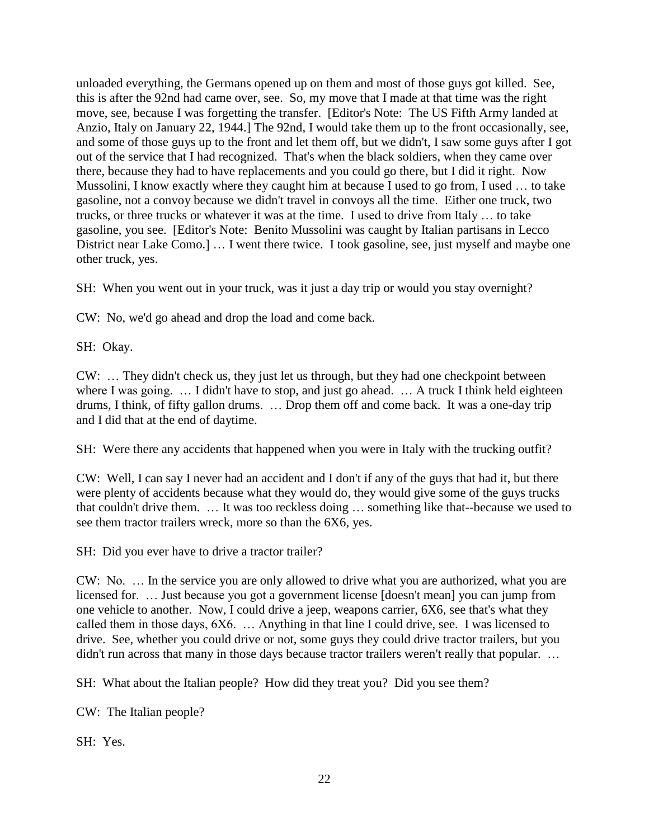unloaded everything, the Germans opened up on them and most of those guys got killed. See, this is after the 92nd had came over, see. So, my move that I made at that time was the right move, see, because I was forgetting the transfer. [Editor's Note: The US Fifth Army landed at Anzio, Italy on January 22, 1944.] The 92nd, I would take them up to the front occasionally, see, and some of those guys up to the front and let them off, but we didn't, I saw some guys after I got out of the service that I had recognized. That's when the black soldiers, when they came over there, because they had to have replacements and you could go there, but I did it right. Now Mussolini, I know exactly where they caught him at because I used to go from, I used ... to take gasoline, not a convoy because we didn't travel in convoys all the time. Either one truck, two trucks, or three trucks or whatever it was at the time. I used to drive from Italy … to take gasoline, you see. [Editor's Note: Benito Mussolini was caught by Italian partisans in Lecco District near Lake Como.] … I went there twice. I took gasoline, see, just myself and maybe one other truck, yes.

SH: When you went out in your truck, was it just a day trip or would you stay overnight?

CW: No, we'd go ahead and drop the load and come back.

SH: Okay.

CW: … They didn't check us, they just let us through, but they had one checkpoint between where I was going. ... I didn't have to stop, and just go ahead. ... A truck I think held eighteen drums, I think, of fifty gallon drums. … Drop them off and come back. It was a one-day trip and I did that at the end of daytime.

SH: Were there any accidents that happened when you were in Italy with the trucking outfit?

CW: Well, I can say I never had an accident and I don't if any of the guys that had it, but there were plenty of accidents because what they would do, they would give some of the guys trucks that couldn't drive them. … It was too reckless doing … something like that--because we used to see them tractor trailers wreck, more so than the 6X6, yes.

SH: Did you ever have to drive a tractor trailer?

CW: No. … In the service you are only allowed to drive what you are authorized, what you are licensed for. … Just because you got a government license [doesn't mean] you can jump from one vehicle to another. Now, I could drive a jeep, weapons carrier, 6X6, see that's what they called them in those days, 6X6. … Anything in that line I could drive, see. I was licensed to drive. See, whether you could drive or not, some guys they could drive tractor trailers, but you didn't run across that many in those days because tractor trailers weren't really that popular. ...

SH: What about the Italian people? How did they treat you? Did you see them?

CW: The Italian people?

SH: Yes.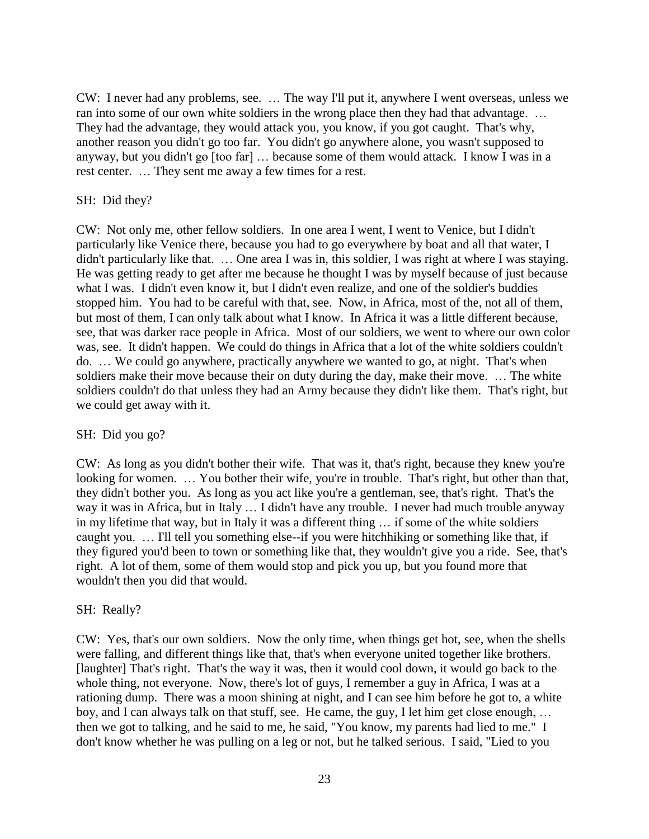CW: I never had any problems, see. … The way I'll put it, anywhere I went overseas, unless we ran into some of our own white soldiers in the wrong place then they had that advantage. … They had the advantage, they would attack you, you know, if you got caught. That's why, another reason you didn't go too far. You didn't go anywhere alone, you wasn't supposed to anyway, but you didn't go [too far] … because some of them would attack. I know I was in a rest center. … They sent me away a few times for a rest.

## SH: Did they?

CW: Not only me, other fellow soldiers. In one area I went, I went to Venice, but I didn't particularly like Venice there, because you had to go everywhere by boat and all that water, I didn't particularly like that. … One area I was in, this soldier, I was right at where I was staying. He was getting ready to get after me because he thought I was by myself because of just because what I was. I didn't even know it, but I didn't even realize, and one of the soldier's buddies stopped him. You had to be careful with that, see. Now, in Africa, most of the, not all of them, but most of them, I can only talk about what I know. In Africa it was a little different because, see, that was darker race people in Africa. Most of our soldiers, we went to where our own color was, see. It didn't happen. We could do things in Africa that a lot of the white soldiers couldn't do. … We could go anywhere, practically anywhere we wanted to go, at night. That's when soldiers make their move because their on duty during the day, make their move. … The white soldiers couldn't do that unless they had an Army because they didn't like them. That's right, but we could get away with it.

### SH: Did you go?

CW: As long as you didn't bother their wife. That was it, that's right, because they knew you're looking for women. ... You bother their wife, you're in trouble. That's right, but other than that, they didn't bother you. As long as you act like you're a gentleman, see, that's right. That's the way it was in Africa, but in Italy … I didn't have any trouble. I never had much trouble anyway in my lifetime that way, but in Italy it was a different thing … if some of the white soldiers caught you. … I'll tell you something else--if you were hitchhiking or something like that, if they figured you'd been to town or something like that, they wouldn't give you a ride. See, that's right. A lot of them, some of them would stop and pick you up, but you found more that wouldn't then you did that would.

### SH: Really?

CW: Yes, that's our own soldiers. Now the only time, when things get hot, see, when the shells were falling, and different things like that, that's when everyone united together like brothers. [laughter] That's right. That's the way it was, then it would cool down, it would go back to the whole thing, not everyone. Now, there's lot of guys, I remember a guy in Africa, I was at a rationing dump. There was a moon shining at night, and I can see him before he got to, a white boy, and I can always talk on that stuff, see. He came, the guy, I let him get close enough, … then we got to talking, and he said to me, he said, "You know, my parents had lied to me." I don't know whether he was pulling on a leg or not, but he talked serious. I said, "Lied to you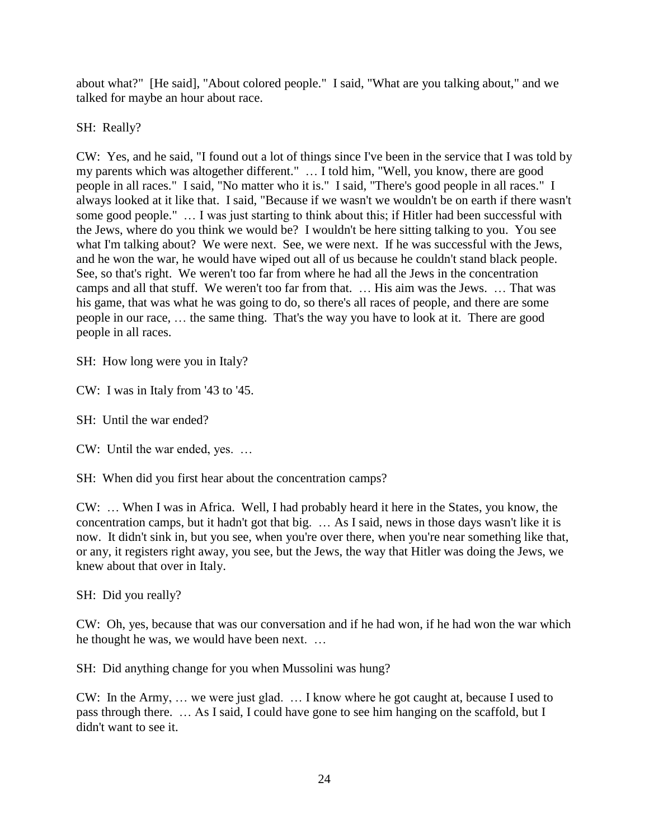about what?" [He said], "About colored people." I said, "What are you talking about," and we talked for maybe an hour about race.

SH: Really?

CW: Yes, and he said, "I found out a lot of things since I've been in the service that I was told by my parents which was altogether different." … I told him, "Well, you know, there are good people in all races." I said, "No matter who it is." I said, "There's good people in all races." I always looked at it like that. I said, "Because if we wasn't we wouldn't be on earth if there wasn't some good people." … I was just starting to think about this; if Hitler had been successful with the Jews, where do you think we would be? I wouldn't be here sitting talking to you. You see what I'm talking about? We were next. See, we were next. If he was successful with the Jews, and he won the war, he would have wiped out all of us because he couldn't stand black people. See, so that's right. We weren't too far from where he had all the Jews in the concentration camps and all that stuff. We weren't too far from that. … His aim was the Jews. … That was his game, that was what he was going to do, so there's all races of people, and there are some people in our race, … the same thing. That's the way you have to look at it. There are good people in all races.

SH: How long were you in Italy?

CW: I was in Italy from '43 to '45.

SH: Until the war ended?

CW: Until the war ended, yes. …

SH: When did you first hear about the concentration camps?

CW: … When I was in Africa. Well, I had probably heard it here in the States, you know, the concentration camps, but it hadn't got that big. … As I said, news in those days wasn't like it is now. It didn't sink in, but you see, when you're over there, when you're near something like that, or any, it registers right away, you see, but the Jews, the way that Hitler was doing the Jews, we knew about that over in Italy.

SH: Did you really?

CW: Oh, yes, because that was our conversation and if he had won, if he had won the war which he thought he was, we would have been next. …

SH: Did anything change for you when Mussolini was hung?

CW: In the Army, … we were just glad. … I know where he got caught at, because I used to pass through there. … As I said, I could have gone to see him hanging on the scaffold, but I didn't want to see it.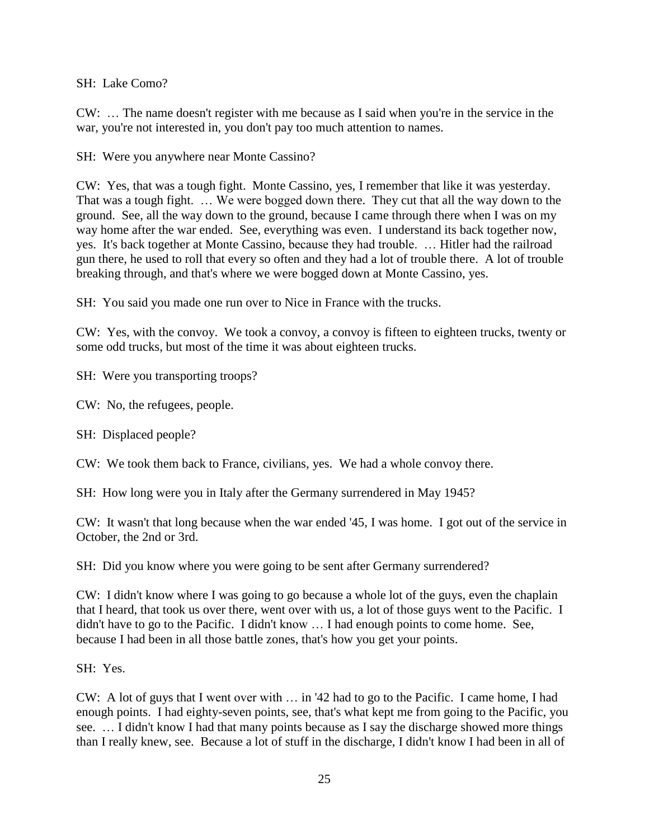SH: Lake Como?

CW: … The name doesn't register with me because as I said when you're in the service in the war, you're not interested in, you don't pay too much attention to names.

SH: Were you anywhere near Monte Cassino?

CW: Yes, that was a tough fight. Monte Cassino, yes, I remember that like it was yesterday. That was a tough fight. … We were bogged down there. They cut that all the way down to the ground. See, all the way down to the ground, because I came through there when I was on my way home after the war ended. See, everything was even. I understand its back together now, yes. It's back together at Monte Cassino, because they had trouble. … Hitler had the railroad gun there, he used to roll that every so often and they had a lot of trouble there. A lot of trouble breaking through, and that's where we were bogged down at Monte Cassino, yes.

SH: You said you made one run over to Nice in France with the trucks.

CW: Yes, with the convoy. We took a convoy, a convoy is fifteen to eighteen trucks, twenty or some odd trucks, but most of the time it was about eighteen trucks.

SH: Were you transporting troops?

CW: No, the refugees, people.

SH: Displaced people?

CW: We took them back to France, civilians, yes. We had a whole convoy there.

SH: How long were you in Italy after the Germany surrendered in May 1945?

CW: It wasn't that long because when the war ended '45, I was home. I got out of the service in October, the 2nd or 3rd.

SH: Did you know where you were going to be sent after Germany surrendered?

CW: I didn't know where I was going to go because a whole lot of the guys, even the chaplain that I heard, that took us over there, went over with us, a lot of those guys went to the Pacific. I didn't have to go to the Pacific. I didn't know … I had enough points to come home. See, because I had been in all those battle zones, that's how you get your points.

SH: Yes.

CW: A lot of guys that I went over with … in '42 had to go to the Pacific. I came home, I had enough points. I had eighty-seven points, see, that's what kept me from going to the Pacific, you see. … I didn't know I had that many points because as I say the discharge showed more things than I really knew, see. Because a lot of stuff in the discharge, I didn't know I had been in all of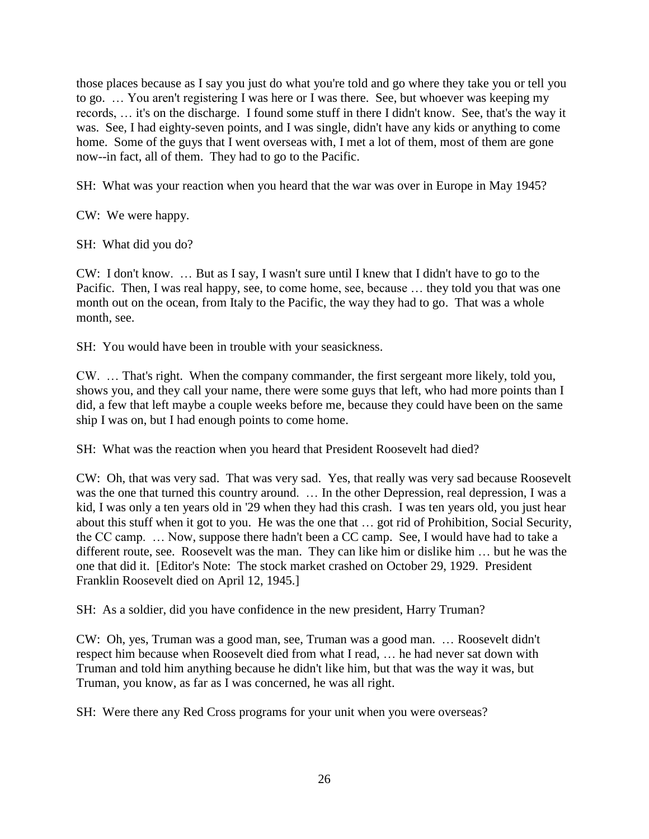those places because as I say you just do what you're told and go where they take you or tell you to go. … You aren't registering I was here or I was there. See, but whoever was keeping my records, … it's on the discharge. I found some stuff in there I didn't know. See, that's the way it was. See, I had eighty-seven points, and I was single, didn't have any kids or anything to come home. Some of the guys that I went overseas with, I met a lot of them, most of them are gone now--in fact, all of them. They had to go to the Pacific.

SH: What was your reaction when you heard that the war was over in Europe in May 1945?

CW: We were happy.

SH: What did you do?

CW: I don't know. … But as I say, I wasn't sure until I knew that I didn't have to go to the Pacific. Then, I was real happy, see, to come home, see, because … they told you that was one month out on the ocean, from Italy to the Pacific, the way they had to go. That was a whole month, see.

SH: You would have been in trouble with your seasickness.

CW. … That's right. When the company commander, the first sergeant more likely, told you, shows you, and they call your name, there were some guys that left, who had more points than I did, a few that left maybe a couple weeks before me, because they could have been on the same ship I was on, but I had enough points to come home.

SH: What was the reaction when you heard that President Roosevelt had died?

CW: Oh, that was very sad. That was very sad. Yes, that really was very sad because Roosevelt was the one that turned this country around. ... In the other Depression, real depression, I was a kid, I was only a ten years old in '29 when they had this crash. I was ten years old, you just hear about this stuff when it got to you. He was the one that … got rid of Prohibition, Social Security, the CC camp. … Now, suppose there hadn't been a CC camp. See, I would have had to take a different route, see. Roosevelt was the man. They can like him or dislike him … but he was the one that did it. [Editor's Note: The stock market crashed on October 29, 1929. President Franklin Roosevelt died on April 12, 1945.]

SH: As a soldier, did you have confidence in the new president, Harry Truman?

CW: Oh, yes, Truman was a good man, see, Truman was a good man. … Roosevelt didn't respect him because when Roosevelt died from what I read, … he had never sat down with Truman and told him anything because he didn't like him, but that was the way it was, but Truman, you know, as far as I was concerned, he was all right.

SH: Were there any Red Cross programs for your unit when you were overseas?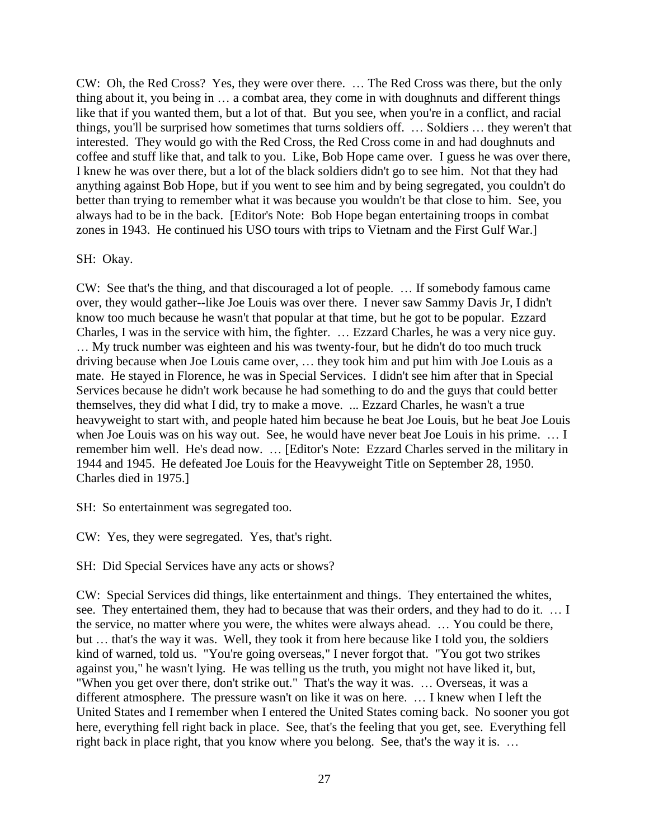CW: Oh, the Red Cross? Yes, they were over there. … The Red Cross was there, but the only thing about it, you being in … a combat area, they come in with doughnuts and different things like that if you wanted them, but a lot of that. But you see, when you're in a conflict, and racial things, you'll be surprised how sometimes that turns soldiers off. … Soldiers … they weren't that interested. They would go with the Red Cross, the Red Cross come in and had doughnuts and coffee and stuff like that, and talk to you. Like, Bob Hope came over. I guess he was over there, I knew he was over there, but a lot of the black soldiers didn't go to see him. Not that they had anything against Bob Hope, but if you went to see him and by being segregated, you couldn't do better than trying to remember what it was because you wouldn't be that close to him. See, you always had to be in the back. [Editor's Note: Bob Hope began entertaining troops in combat zones in 1943. He continued his USO tours with trips to Vietnam and the First Gulf War.]

### SH: Okay.

CW: See that's the thing, and that discouraged a lot of people. … If somebody famous came over, they would gather--like Joe Louis was over there. I never saw Sammy Davis Jr, I didn't know too much because he wasn't that popular at that time, but he got to be popular. Ezzard Charles, I was in the service with him, the fighter. … Ezzard Charles, he was a very nice guy. … My truck number was eighteen and his was twenty-four, but he didn't do too much truck driving because when Joe Louis came over, … they took him and put him with Joe Louis as a mate. He stayed in Florence, he was in Special Services. I didn't see him after that in Special Services because he didn't work because he had something to do and the guys that could better themselves, they did what I did, try to make a move. ... Ezzard Charles, he wasn't a true heavyweight to start with, and people hated him because he beat Joe Louis, but he beat Joe Louis when Joe Louis was on his way out. See, he would have never beat Joe Louis in his prime. … I remember him well. He's dead now. … [Editor's Note: Ezzard Charles served in the military in 1944 and 1945. He defeated Joe Louis for the Heavyweight Title on September 28, 1950. Charles died in 1975.]

SH: So entertainment was segregated too.

CW: Yes, they were segregated. Yes, that's right.

SH: Did Special Services have any acts or shows?

CW: Special Services did things, like entertainment and things. They entertained the whites, see. They entertained them, they had to because that was their orders, and they had to do it. … I the service, no matter where you were, the whites were always ahead. … You could be there, but … that's the way it was. Well, they took it from here because like I told you, the soldiers kind of warned, told us. "You're going overseas," I never forgot that. "You got two strikes against you," he wasn't lying. He was telling us the truth, you might not have liked it, but, "When you get over there, don't strike out." That's the way it was. … Overseas, it was a different atmosphere. The pressure wasn't on like it was on here. … I knew when I left the United States and I remember when I entered the United States coming back. No sooner you got here, everything fell right back in place. See, that's the feeling that you get, see. Everything fell right back in place right, that you know where you belong. See, that's the way it is. …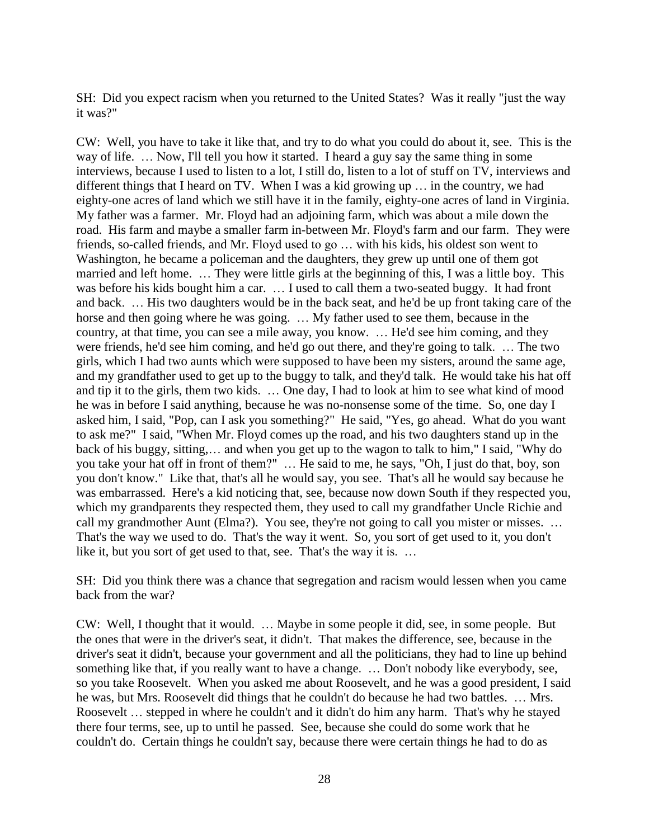SH: Did you expect racism when you returned to the United States? Was it really "just the way it was?"

CW: Well, you have to take it like that, and try to do what you could do about it, see. This is the way of life. ... Now, I'll tell you how it started. I heard a guy say the same thing in some interviews, because I used to listen to a lot, I still do, listen to a lot of stuff on TV, interviews and different things that I heard on TV. When I was a kid growing up … in the country, we had eighty-one acres of land which we still have it in the family, eighty-one acres of land in Virginia. My father was a farmer. Mr. Floyd had an adjoining farm, which was about a mile down the road. His farm and maybe a smaller farm in-between Mr. Floyd's farm and our farm. They were friends, so-called friends, and Mr. Floyd used to go … with his kids, his oldest son went to Washington, he became a policeman and the daughters, they grew up until one of them got married and left home. … They were little girls at the beginning of this, I was a little boy. This was before his kids bought him a car. … I used to call them a two-seated buggy. It had front and back. … His two daughters would be in the back seat, and he'd be up front taking care of the horse and then going where he was going. … My father used to see them, because in the country, at that time, you can see a mile away, you know. … He'd see him coming, and they were friends, he'd see him coming, and he'd go out there, and they're going to talk. … The two girls, which I had two aunts which were supposed to have been my sisters, around the same age, and my grandfather used to get up to the buggy to talk, and they'd talk. He would take his hat off and tip it to the girls, them two kids. … One day, I had to look at him to see what kind of mood he was in before I said anything, because he was no-nonsense some of the time. So, one day I asked him, I said, "Pop, can I ask you something?" He said, "Yes, go ahead. What do you want to ask me?" I said, "When Mr. Floyd comes up the road, and his two daughters stand up in the back of his buggy, sitting,… and when you get up to the wagon to talk to him," I said, "Why do you take your hat off in front of them?" … He said to me, he says, "Oh, I just do that, boy, son you don't know." Like that, that's all he would say, you see. That's all he would say because he was embarrassed. Here's a kid noticing that, see, because now down South if they respected you, which my grandparents they respected them, they used to call my grandfather Uncle Richie and call my grandmother Aunt (Elma?). You see, they're not going to call you mister or misses. ... That's the way we used to do. That's the way it went. So, you sort of get used to it, you don't like it, but you sort of get used to that, see. That's the way it is. …

SH: Did you think there was a chance that segregation and racism would lessen when you came back from the war?

CW: Well, I thought that it would. … Maybe in some people it did, see, in some people. But the ones that were in the driver's seat, it didn't. That makes the difference, see, because in the driver's seat it didn't, because your government and all the politicians, they had to line up behind something like that, if you really want to have a change. … Don't nobody like everybody, see, so you take Roosevelt. When you asked me about Roosevelt, and he was a good president, I said he was, but Mrs. Roosevelt did things that he couldn't do because he had two battles. … Mrs. Roosevelt … stepped in where he couldn't and it didn't do him any harm. That's why he stayed there four terms, see, up to until he passed. See, because she could do some work that he couldn't do. Certain things he couldn't say, because there were certain things he had to do as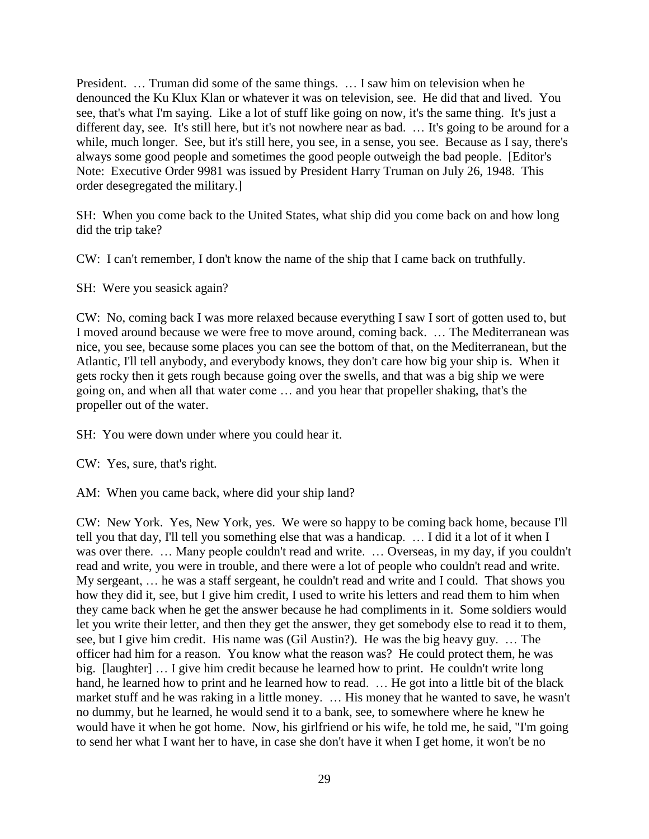President. … Truman did some of the same things. … I saw him on television when he denounced the Ku Klux Klan or whatever it was on television, see. He did that and lived. You see, that's what I'm saying. Like a lot of stuff like going on now, it's the same thing. It's just a different day, see. It's still here, but it's not nowhere near as bad. … It's going to be around for a while, much longer. See, but it's still here, you see, in a sense, you see. Because as I say, there's always some good people and sometimes the good people outweigh the bad people. [Editor's Note: Executive Order 9981 was issued by President Harry Truman on July 26, 1948. This order desegregated the military.]

SH: When you come back to the United States, what ship did you come back on and how long did the trip take?

CW: I can't remember, I don't know the name of the ship that I came back on truthfully.

SH: Were you seasick again?

CW: No, coming back I was more relaxed because everything I saw I sort of gotten used to, but I moved around because we were free to move around, coming back. … The Mediterranean was nice, you see, because some places you can see the bottom of that, on the Mediterranean, but the Atlantic, I'll tell anybody, and everybody knows, they don't care how big your ship is. When it gets rocky then it gets rough because going over the swells, and that was a big ship we were going on, and when all that water come … and you hear that propeller shaking, that's the propeller out of the water.

SH: You were down under where you could hear it.

CW: Yes, sure, that's right.

AM: When you came back, where did your ship land?

CW: New York. Yes, New York, yes. We were so happy to be coming back home, because I'll tell you that day, I'll tell you something else that was a handicap. … I did it a lot of it when I was over there. … Many people couldn't read and write. … Overseas, in my day, if you couldn't read and write, you were in trouble, and there were a lot of people who couldn't read and write. My sergeant, … he was a staff sergeant, he couldn't read and write and I could. That shows you how they did it, see, but I give him credit, I used to write his letters and read them to him when they came back when he get the answer because he had compliments in it. Some soldiers would let you write their letter, and then they get the answer, they get somebody else to read it to them, see, but I give him credit. His name was (Gil Austin?). He was the big heavy guy. … The officer had him for a reason. You know what the reason was? He could protect them, he was big. [laughter] … I give him credit because he learned how to print. He couldn't write long hand, he learned how to print and he learned how to read. ... He got into a little bit of the black market stuff and he was raking in a little money. … His money that he wanted to save, he wasn't no dummy, but he learned, he would send it to a bank, see, to somewhere where he knew he would have it when he got home. Now, his girlfriend or his wife, he told me, he said, "I'm going to send her what I want her to have, in case she don't have it when I get home, it won't be no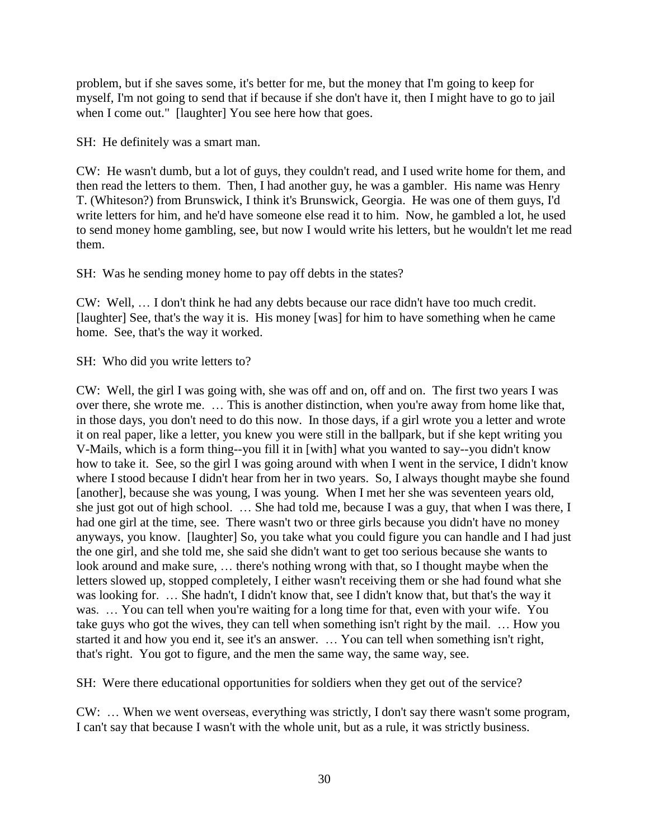problem, but if she saves some, it's better for me, but the money that I'm going to keep for myself, I'm not going to send that if because if she don't have it, then I might have to go to jail when I come out." [laughter] You see here how that goes.

SH: He definitely was a smart man.

CW: He wasn't dumb, but a lot of guys, they couldn't read, and I used write home for them, and then read the letters to them. Then, I had another guy, he was a gambler. His name was Henry T. (Whiteson?) from Brunswick, I think it's Brunswick, Georgia. He was one of them guys, I'd write letters for him, and he'd have someone else read it to him. Now, he gambled a lot, he used to send money home gambling, see, but now I would write his letters, but he wouldn't let me read them.

SH: Was he sending money home to pay off debts in the states?

CW: Well, … I don't think he had any debts because our race didn't have too much credit. [laughter] See, that's the way it is. His money [was] for him to have something when he came home. See, that's the way it worked.

SH: Who did you write letters to?

CW: Well, the girl I was going with, she was off and on, off and on. The first two years I was over there, she wrote me. … This is another distinction, when you're away from home like that, in those days, you don't need to do this now. In those days, if a girl wrote you a letter and wrote it on real paper, like a letter, you knew you were still in the ballpark, but if she kept writing you V-Mails, which is a form thing--you fill it in [with] what you wanted to say--you didn't know how to take it. See, so the girl I was going around with when I went in the service, I didn't know where I stood because I didn't hear from her in two years. So, I always thought maybe she found [another], because she was young, I was young. When I met her she was seventeen years old, she just got out of high school. … She had told me, because I was a guy, that when I was there, I had one girl at the time, see. There wasn't two or three girls because you didn't have no money anyways, you know. [laughter] So, you take what you could figure you can handle and I had just the one girl, and she told me, she said she didn't want to get too serious because she wants to look around and make sure, … there's nothing wrong with that, so I thought maybe when the letters slowed up, stopped completely, I either wasn't receiving them or she had found what she was looking for. … She hadn't, I didn't know that, see I didn't know that, but that's the way it was. ... You can tell when you're waiting for a long time for that, even with your wife. You take guys who got the wives, they can tell when something isn't right by the mail. … How you started it and how you end it, see it's an answer. … You can tell when something isn't right, that's right. You got to figure, and the men the same way, the same way, see.

SH: Were there educational opportunities for soldiers when they get out of the service?

CW: … When we went overseas, everything was strictly, I don't say there wasn't some program, I can't say that because I wasn't with the whole unit, but as a rule, it was strictly business.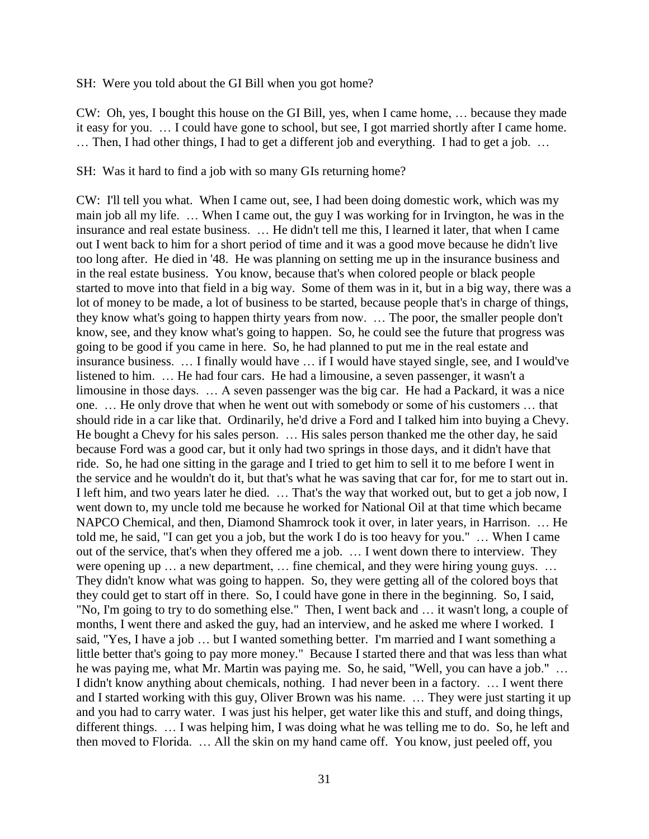SH: Were you told about the GI Bill when you got home?

CW: Oh, yes, I bought this house on the GI Bill, yes, when I came home, … because they made it easy for you. … I could have gone to school, but see, I got married shortly after I came home. … Then, I had other things, I had to get a different job and everything. I had to get a job. …

SH: Was it hard to find a job with so many GIs returning home?

CW: I'll tell you what. When I came out, see, I had been doing domestic work, which was my main job all my life. … When I came out, the guy I was working for in Irvington, he was in the insurance and real estate business. … He didn't tell me this, I learned it later, that when I came out I went back to him for a short period of time and it was a good move because he didn't live too long after. He died in '48. He was planning on setting me up in the insurance business and in the real estate business. You know, because that's when colored people or black people started to move into that field in a big way. Some of them was in it, but in a big way, there was a lot of money to be made, a lot of business to be started, because people that's in charge of things, they know what's going to happen thirty years from now. … The poor, the smaller people don't know, see, and they know what's going to happen. So, he could see the future that progress was going to be good if you came in here. So, he had planned to put me in the real estate and insurance business. … I finally would have … if I would have stayed single, see, and I would've listened to him. … He had four cars. He had a limousine, a seven passenger, it wasn't a limousine in those days. … A seven passenger was the big car. He had a Packard, it was a nice one. … He only drove that when he went out with somebody or some of his customers … that should ride in a car like that. Ordinarily, he'd drive a Ford and I talked him into buying a Chevy. He bought a Chevy for his sales person. … His sales person thanked me the other day, he said because Ford was a good car, but it only had two springs in those days, and it didn't have that ride. So, he had one sitting in the garage and I tried to get him to sell it to me before I went in the service and he wouldn't do it, but that's what he was saving that car for, for me to start out in. I left him, and two years later he died. … That's the way that worked out, but to get a job now, I went down to, my uncle told me because he worked for National Oil at that time which became NAPCO Chemical, and then, Diamond Shamrock took it over, in later years, in Harrison. … He told me, he said, "I can get you a job, but the work I do is too heavy for you." … When I came out of the service, that's when they offered me a job. … I went down there to interview. They were opening up … a new department, … fine chemical, and they were hiring young guys. … They didn't know what was going to happen. So, they were getting all of the colored boys that they could get to start off in there. So, I could have gone in there in the beginning. So, I said, "No, I'm going to try to do something else." Then, I went back and … it wasn't long, a couple of months, I went there and asked the guy, had an interview, and he asked me where I worked. I said, "Yes, I have a job … but I wanted something better. I'm married and I want something a little better that's going to pay more money." Because I started there and that was less than what he was paying me, what Mr. Martin was paying me. So, he said, "Well, you can have a job." … I didn't know anything about chemicals, nothing. I had never been in a factory. … I went there and I started working with this guy, Oliver Brown was his name. … They were just starting it up and you had to carry water. I was just his helper, get water like this and stuff, and doing things, different things. … I was helping him, I was doing what he was telling me to do. So, he left and then moved to Florida. … All the skin on my hand came off. You know, just peeled off, you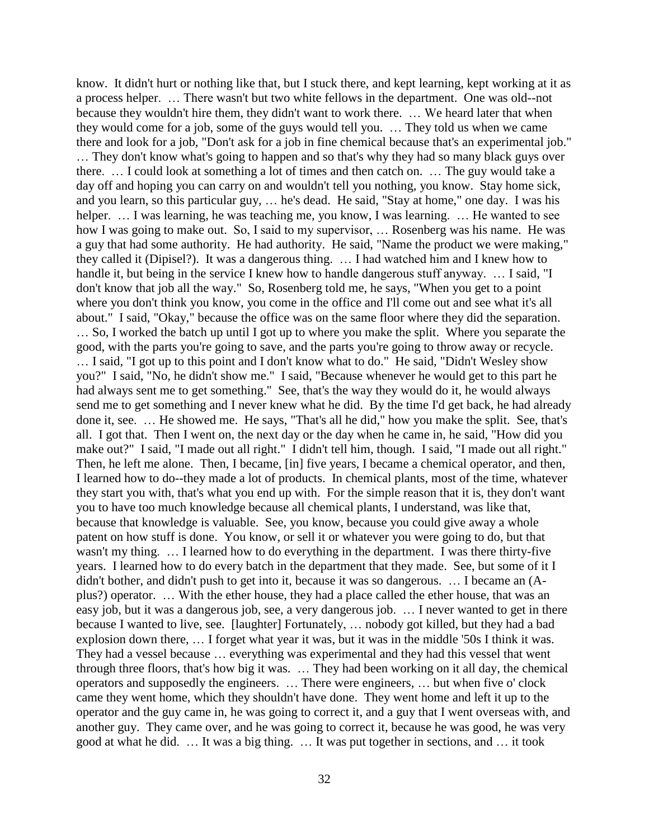know. It didn't hurt or nothing like that, but I stuck there, and kept learning, kept working at it as a process helper. … There wasn't but two white fellows in the department. One was old--not because they wouldn't hire them, they didn't want to work there. … We heard later that when they would come for a job, some of the guys would tell you. … They told us when we came there and look for a job, "Don't ask for a job in fine chemical because that's an experimental job." … They don't know what's going to happen and so that's why they had so many black guys over there. … I could look at something a lot of times and then catch on. … The guy would take a day off and hoping you can carry on and wouldn't tell you nothing, you know. Stay home sick, and you learn, so this particular guy, … he's dead. He said, "Stay at home," one day. I was his helper. ... I was learning, he was teaching me, you know, I was learning. ... He wanted to see how I was going to make out. So, I said to my supervisor, ... Rosenberg was his name. He was a guy that had some authority. He had authority. He said, "Name the product we were making," they called it (Dipisel?). It was a dangerous thing. … I had watched him and I knew how to handle it, but being in the service I knew how to handle dangerous stuff anyway. ... I said, "I don't know that job all the way." So, Rosenberg told me, he says, "When you get to a point where you don't think you know, you come in the office and I'll come out and see what it's all about." I said, "Okay," because the office was on the same floor where they did the separation. … So, I worked the batch up until I got up to where you make the split. Where you separate the good, with the parts you're going to save, and the parts you're going to throw away or recycle. … I said, "I got up to this point and I don't know what to do." He said, "Didn't Wesley show you?" I said, "No, he didn't show me." I said, "Because whenever he would get to this part he had always sent me to get something." See, that's the way they would do it, he would always send me to get something and I never knew what he did. By the time I'd get back, he had already done it, see. … He showed me. He says, "That's all he did," how you make the split. See, that's all. I got that. Then I went on, the next day or the day when he came in, he said, "How did you make out?" I said, "I made out all right." I didn't tell him, though. I said, "I made out all right." Then, he left me alone. Then, I became, [in] five years, I became a chemical operator, and then, I learned how to do--they made a lot of products. In chemical plants, most of the time, whatever they start you with, that's what you end up with. For the simple reason that it is, they don't want you to have too much knowledge because all chemical plants, I understand, was like that, because that knowledge is valuable. See, you know, because you could give away a whole patent on how stuff is done. You know, or sell it or whatever you were going to do, but that wasn't my thing. … I learned how to do everything in the department. I was there thirty-five years. I learned how to do every batch in the department that they made. See, but some of it I didn't bother, and didn't push to get into it, because it was so dangerous. … I became an (Aplus?) operator. … With the ether house, they had a place called the ether house, that was an easy job, but it was a dangerous job, see, a very dangerous job. … I never wanted to get in there because I wanted to live, see. [laughter] Fortunately, … nobody got killed, but they had a bad explosion down there, … I forget what year it was, but it was in the middle '50s I think it was. They had a vessel because … everything was experimental and they had this vessel that went through three floors, that's how big it was. … They had been working on it all day, the chemical operators and supposedly the engineers. … There were engineers, … but when five o' clock came they went home, which they shouldn't have done. They went home and left it up to the operator and the guy came in, he was going to correct it, and a guy that I went overseas with, and another guy. They came over, and he was going to correct it, because he was good, he was very good at what he did. … It was a big thing. … It was put together in sections, and … it took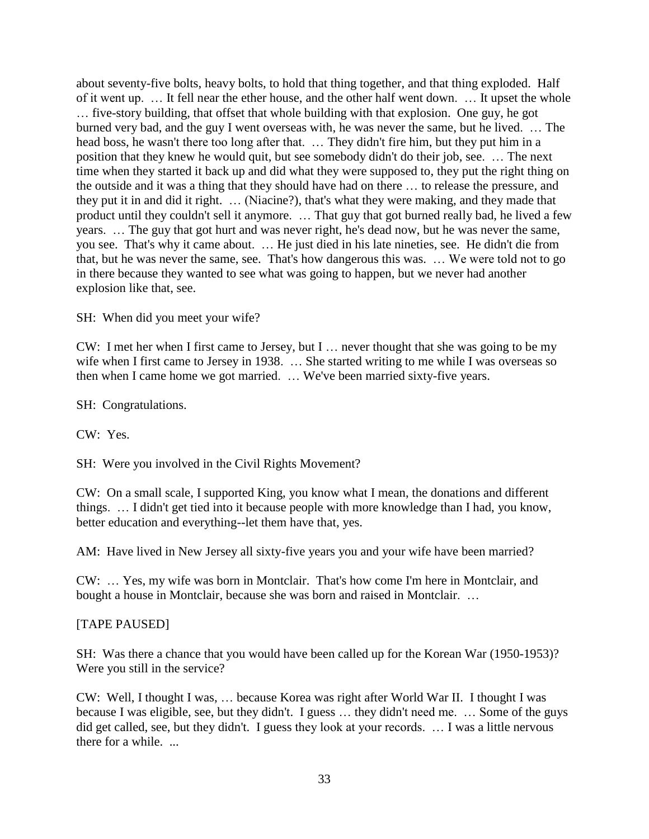about seventy-five bolts, heavy bolts, to hold that thing together, and that thing exploded. Half of it went up. … It fell near the ether house, and the other half went down. … It upset the whole … five-story building, that offset that whole building with that explosion. One guy, he got burned very bad, and the guy I went overseas with, he was never the same, but he lived. … The head boss, he wasn't there too long after that. … They didn't fire him, but they put him in a position that they knew he would quit, but see somebody didn't do their job, see. … The next time when they started it back up and did what they were supposed to, they put the right thing on the outside and it was a thing that they should have had on there … to release the pressure, and they put it in and did it right. … (Niacine?), that's what they were making, and they made that product until they couldn't sell it anymore. … That guy that got burned really bad, he lived a few years. … The guy that got hurt and was never right, he's dead now, but he was never the same, you see. That's why it came about. … He just died in his late nineties, see. He didn't die from that, but he was never the same, see. That's how dangerous this was. … We were told not to go in there because they wanted to see what was going to happen, but we never had another explosion like that, see.

SH: When did you meet your wife?

CW: I met her when I first came to Jersey, but I … never thought that she was going to be my wife when I first came to Jersey in 1938. ... She started writing to me while I was overseas so then when I came home we got married. … We've been married sixty-five years.

SH: Congratulations.

CW: Yes.

SH: Were you involved in the Civil Rights Movement?

CW: On a small scale, I supported King, you know what I mean, the donations and different things. … I didn't get tied into it because people with more knowledge than I had, you know, better education and everything--let them have that, yes.

AM: Have lived in New Jersey all sixty-five years you and your wife have been married?

CW: … Yes, my wife was born in Montclair. That's how come I'm here in Montclair, and bought a house in Montclair, because she was born and raised in Montclair. …

## [TAPE PAUSED]

SH: Was there a chance that you would have been called up for the Korean War (1950-1953)? Were you still in the service?

CW: Well, I thought I was, … because Korea was right after World War II. I thought I was because I was eligible, see, but they didn't. I guess … they didn't need me. … Some of the guys did get called, see, but they didn't. I guess they look at your records. … I was a little nervous there for a while. ...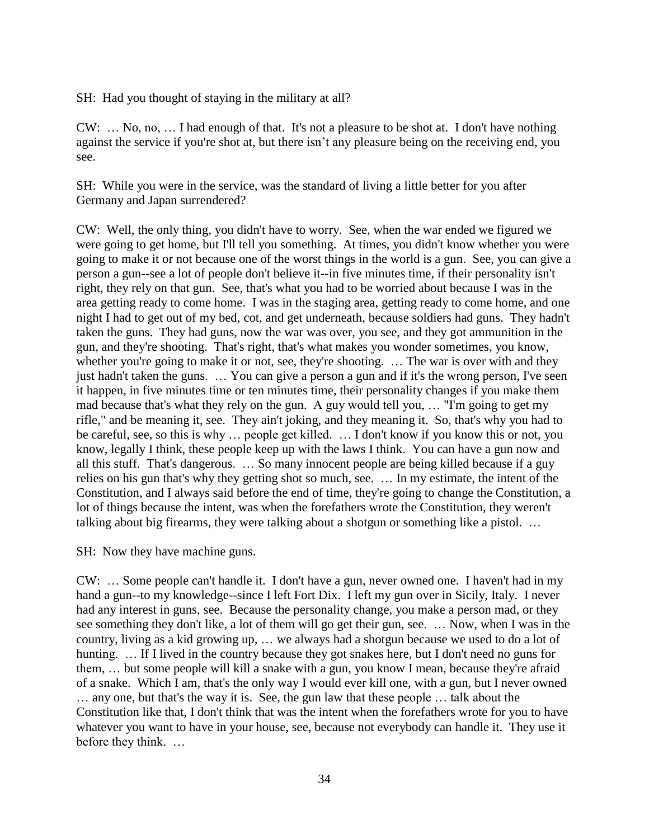SH: Had you thought of staying in the military at all?

CW: … No, no, … I had enough of that. It's not a pleasure to be shot at. I don't have nothing against the service if you're shot at, but there isn't any pleasure being on the receiving end, you see.

SH: While you were in the service, was the standard of living a little better for you after Germany and Japan surrendered?

CW: Well, the only thing, you didn't have to worry. See, when the war ended we figured we were going to get home, but I'll tell you something. At times, you didn't know whether you were going to make it or not because one of the worst things in the world is a gun. See, you can give a person a gun--see a lot of people don't believe it--in five minutes time, if their personality isn't right, they rely on that gun. See, that's what you had to be worried about because I was in the area getting ready to come home. I was in the staging area, getting ready to come home, and one night I had to get out of my bed, cot, and get underneath, because soldiers had guns. They hadn't taken the guns. They had guns, now the war was over, you see, and they got ammunition in the gun, and they're shooting. That's right, that's what makes you wonder sometimes, you know, whether you're going to make it or not, see, they're shooting. ... The war is over with and they just hadn't taken the guns. … You can give a person a gun and if it's the wrong person, I've seen it happen, in five minutes time or ten minutes time, their personality changes if you make them mad because that's what they rely on the gun. A guy would tell you, … "I'm going to get my rifle," and be meaning it, see. They ain't joking, and they meaning it. So, that's why you had to be careful, see, so this is why … people get killed. … I don't know if you know this or not, you know, legally I think, these people keep up with the laws I think. You can have a gun now and all this stuff. That's dangerous. … So many innocent people are being killed because if a guy relies on his gun that's why they getting shot so much, see. … In my estimate, the intent of the Constitution, and I always said before the end of time, they're going to change the Constitution, a lot of things because the intent, was when the forefathers wrote the Constitution, they weren't talking about big firearms, they were talking about a shotgun or something like a pistol. …

SH: Now they have machine guns.

CW: … Some people can't handle it. I don't have a gun, never owned one. I haven't had in my hand a gun--to my knowledge--since I left Fort Dix. I left my gun over in Sicily, Italy. I never had any interest in guns, see. Because the personality change, you make a person mad, or they see something they don't like, a lot of them will go get their gun, see. … Now, when I was in the country, living as a kid growing up, … we always had a shotgun because we used to do a lot of hunting. ... If I lived in the country because they got snakes here, but I don't need no guns for them, … but some people will kill a snake with a gun, you know I mean, because they're afraid of a snake. Which I am, that's the only way I would ever kill one, with a gun, but I never owned … any one, but that's the way it is. See, the gun law that these people … talk about the Constitution like that, I don't think that was the intent when the forefathers wrote for you to have whatever you want to have in your house, see, because not everybody can handle it. They use it before they think. …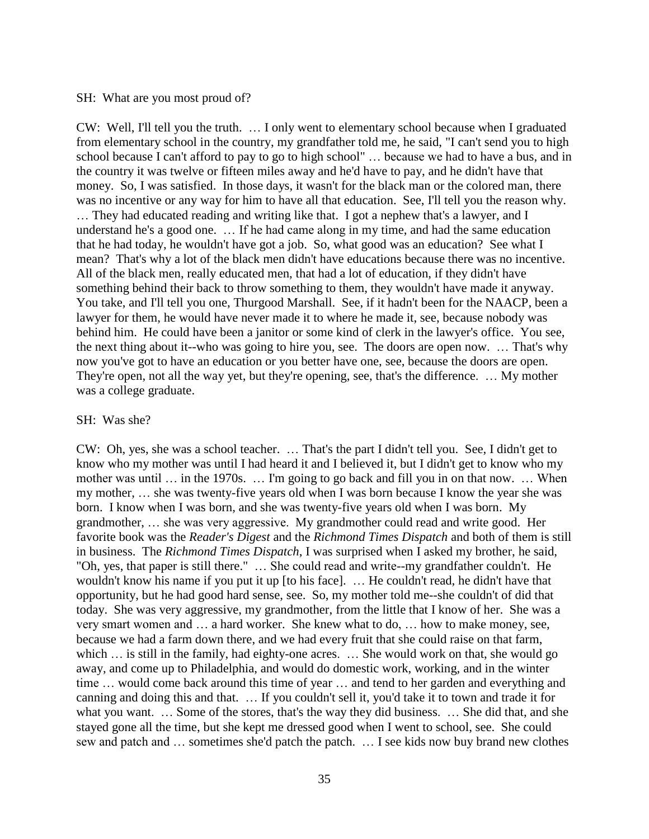#### SH: What are you most proud of?

CW: Well, I'll tell you the truth. … I only went to elementary school because when I graduated from elementary school in the country, my grandfather told me, he said, "I can't send you to high school because I can't afford to pay to go to high school" … because we had to have a bus, and in the country it was twelve or fifteen miles away and he'd have to pay, and he didn't have that money. So, I was satisfied. In those days, it wasn't for the black man or the colored man, there was no incentive or any way for him to have all that education. See, I'll tell you the reason why. … They had educated reading and writing like that. I got a nephew that's a lawyer, and I understand he's a good one. … If he had came along in my time, and had the same education that he had today, he wouldn't have got a job. So, what good was an education? See what I mean? That's why a lot of the black men didn't have educations because there was no incentive. All of the black men, really educated men, that had a lot of education, if they didn't have something behind their back to throw something to them, they wouldn't have made it anyway. You take, and I'll tell you one, Thurgood Marshall. See, if it hadn't been for the NAACP, been a lawyer for them, he would have never made it to where he made it, see, because nobody was behind him. He could have been a janitor or some kind of clerk in the lawyer's office. You see, the next thing about it--who was going to hire you, see. The doors are open now. … That's why now you've got to have an education or you better have one, see, because the doors are open. They're open, not all the way yet, but they're opening, see, that's the difference. … My mother was a college graduate.

#### SH: Was she?

CW: Oh, yes, she was a school teacher. … That's the part I didn't tell you. See, I didn't get to know who my mother was until I had heard it and I believed it, but I didn't get to know who my mother was until … in the 1970s. … I'm going to go back and fill you in on that now. … When my mother, … she was twenty-five years old when I was born because I know the year she was born. I know when I was born, and she was twenty-five years old when I was born. My grandmother, … she was very aggressive. My grandmother could read and write good. Her favorite book was the *Reader's Digest* and the *Richmond Times Dispatch* and both of them is still in business. The *Richmond Times Dispatch*, I was surprised when I asked my brother, he said, "Oh, yes, that paper is still there." … She could read and write--my grandfather couldn't. He wouldn't know his name if you put it up [to his face]. … He couldn't read, he didn't have that opportunity, but he had good hard sense, see. So, my mother told me--she couldn't of did that today. She was very aggressive, my grandmother, from the little that I know of her. She was a very smart women and … a hard worker. She knew what to do, … how to make money, see, because we had a farm down there, and we had every fruit that she could raise on that farm, which  $\ldots$  is still in the family, had eighty-one acres.  $\ldots$  She would work on that, she would go away, and come up to Philadelphia, and would do domestic work, working, and in the winter time … would come back around this time of year … and tend to her garden and everything and canning and doing this and that. … If you couldn't sell it, you'd take it to town and trade it for what you want. … Some of the stores, that's the way they did business. … She did that, and she stayed gone all the time, but she kept me dressed good when I went to school, see. She could sew and patch and … sometimes she'd patch the patch. … I see kids now buy brand new clothes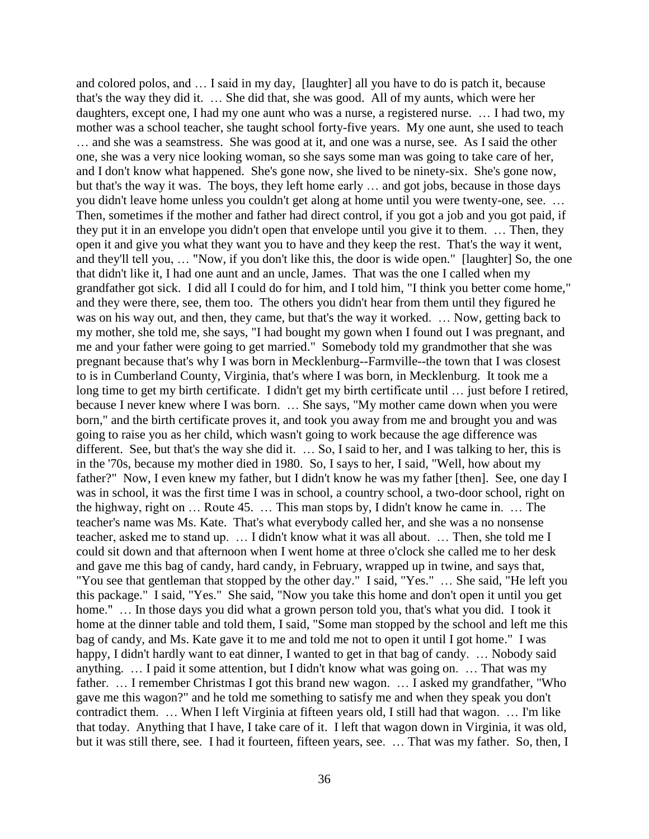and colored polos, and … I said in my day, [laughter] all you have to do is patch it, because that's the way they did it. … She did that, she was good. All of my aunts, which were her daughters, except one, I had my one aunt who was a nurse, a registered nurse. … I had two, my mother was a school teacher, she taught school forty-five years. My one aunt, she used to teach … and she was a seamstress. She was good at it, and one was a nurse, see. As I said the other one, she was a very nice looking woman, so she says some man was going to take care of her, and I don't know what happened. She's gone now, she lived to be ninety-six. She's gone now, but that's the way it was. The boys, they left home early … and got jobs, because in those days you didn't leave home unless you couldn't get along at home until you were twenty-one, see. … Then, sometimes if the mother and father had direct control, if you got a job and you got paid, if they put it in an envelope you didn't open that envelope until you give it to them. … Then, they open it and give you what they want you to have and they keep the rest. That's the way it went, and they'll tell you, … "Now, if you don't like this, the door is wide open." [laughter] So, the one that didn't like it, I had one aunt and an uncle, James. That was the one I called when my grandfather got sick. I did all I could do for him, and I told him, "I think you better come home," and they were there, see, them too. The others you didn't hear from them until they figured he was on his way out, and then, they came, but that's the way it worked. … Now, getting back to my mother, she told me, she says, "I had bought my gown when I found out I was pregnant, and me and your father were going to get married." Somebody told my grandmother that she was pregnant because that's why I was born in Mecklenburg--Farmville--the town that I was closest to is in Cumberland County, Virginia, that's where I was born, in Mecklenburg. It took me a long time to get my birth certificate. I didn't get my birth certificate until … just before I retired, because I never knew where I was born. … She says, "My mother came down when you were born," and the birth certificate proves it, and took you away from me and brought you and was going to raise you as her child, which wasn't going to work because the age difference was different. See, but that's the way she did it. … So, I said to her, and I was talking to her, this is in the '70s, because my mother died in 1980. So, I says to her, I said, "Well, how about my father?" Now, I even knew my father, but I didn't know he was my father [then]. See, one day I was in school, it was the first time I was in school, a country school, a two-door school, right on the highway, right on … Route 45. … This man stops by, I didn't know he came in. … The teacher's name was Ms. Kate. That's what everybody called her, and she was a no nonsense teacher, asked me to stand up. … I didn't know what it was all about. … Then, she told me I could sit down and that afternoon when I went home at three o'clock she called me to her desk and gave me this bag of candy, hard candy, in February, wrapped up in twine, and says that, "You see that gentleman that stopped by the other day." I said, "Yes." … She said, "He left you this package." I said, "Yes." She said, "Now you take this home and don't open it until you get home." ... In those days you did what a grown person told you, that's what you did. I took it home at the dinner table and told them, I said, "Some man stopped by the school and left me this bag of candy, and Ms. Kate gave it to me and told me not to open it until I got home." I was happy, I didn't hardly want to eat dinner, I wanted to get in that bag of candy. ... Nobody said anything. … I paid it some attention, but I didn't know what was going on. … That was my father. … I remember Christmas I got this brand new wagon. … I asked my grandfather, "Who gave me this wagon?" and he told me something to satisfy me and when they speak you don't contradict them. … When I left Virginia at fifteen years old, I still had that wagon. … I'm like that today. Anything that I have, I take care of it. I left that wagon down in Virginia, it was old, but it was still there, see. I had it fourteen, fifteen years, see. … That was my father. So, then, I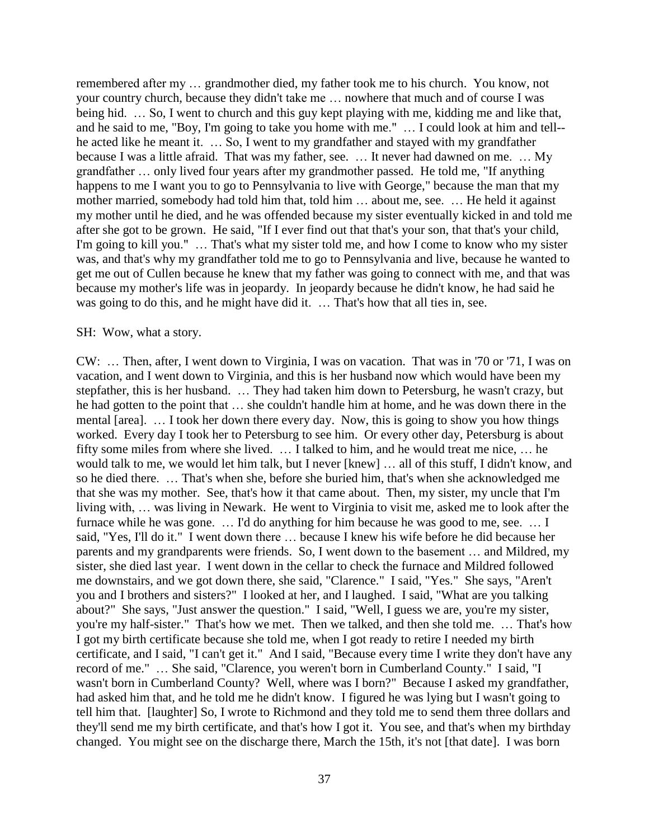remembered after my … grandmother died, my father took me to his church. You know, not your country church, because they didn't take me … nowhere that much and of course I was being hid. … So, I went to church and this guy kept playing with me, kidding me and like that, and he said to me, "Boy, I'm going to take you home with me." … I could look at him and tell- he acted like he meant it. … So, I went to my grandfather and stayed with my grandfather because I was a little afraid. That was my father, see. … It never had dawned on me. … My grandfather … only lived four years after my grandmother passed. He told me, "If anything happens to me I want you to go to Pennsylvania to live with George," because the man that my mother married, somebody had told him that, told him ... about me, see. ... He held it against my mother until he died, and he was offended because my sister eventually kicked in and told me after she got to be grown. He said, "If I ever find out that that's your son, that that's your child, I'm going to kill you." … That's what my sister told me, and how I come to know who my sister was, and that's why my grandfather told me to go to Pennsylvania and live, because he wanted to get me out of Cullen because he knew that my father was going to connect with me, and that was because my mother's life was in jeopardy. In jeopardy because he didn't know, he had said he was going to do this, and he might have did it. … That's how that all ties in, see.

### SH: Wow, what a story.

CW: … Then, after, I went down to Virginia, I was on vacation. That was in '70 or '71, I was on vacation, and I went down to Virginia, and this is her husband now which would have been my stepfather, this is her husband. … They had taken him down to Petersburg, he wasn't crazy, but he had gotten to the point that … she couldn't handle him at home, and he was down there in the mental [area]. … I took her down there every day. Now, this is going to show you how things worked. Every day I took her to Petersburg to see him. Or every other day, Petersburg is about fifty some miles from where she lived. … I talked to him, and he would treat me nice, … he would talk to me, we would let him talk, but I never [knew] … all of this stuff, I didn't know, and so he died there. … That's when she, before she buried him, that's when she acknowledged me that she was my mother. See, that's how it that came about. Then, my sister, my uncle that I'm living with, … was living in Newark. He went to Virginia to visit me, asked me to look after the furnace while he was gone. … I'd do anything for him because he was good to me, see. … I said, "Yes, I'll do it." I went down there … because I knew his wife before he did because her parents and my grandparents were friends. So, I went down to the basement … and Mildred, my sister, she died last year. I went down in the cellar to check the furnace and Mildred followed me downstairs, and we got down there, she said, "Clarence." I said, "Yes." She says, "Aren't you and I brothers and sisters?" I looked at her, and I laughed. I said, "What are you talking about?" She says, "Just answer the question." I said, "Well, I guess we are, you're my sister, you're my half-sister." That's how we met. Then we talked, and then she told me. … That's how I got my birth certificate because she told me, when I got ready to retire I needed my birth certificate, and I said, "I can't get it." And I said, "Because every time I write they don't have any record of me." … She said, "Clarence, you weren't born in Cumberland County." I said, "I wasn't born in Cumberland County? Well, where was I born?" Because I asked my grandfather, had asked him that, and he told me he didn't know. I figured he was lying but I wasn't going to tell him that. [laughter] So, I wrote to Richmond and they told me to send them three dollars and they'll send me my birth certificate, and that's how I got it. You see, and that's when my birthday changed. You might see on the discharge there, March the 15th, it's not [that date]. I was born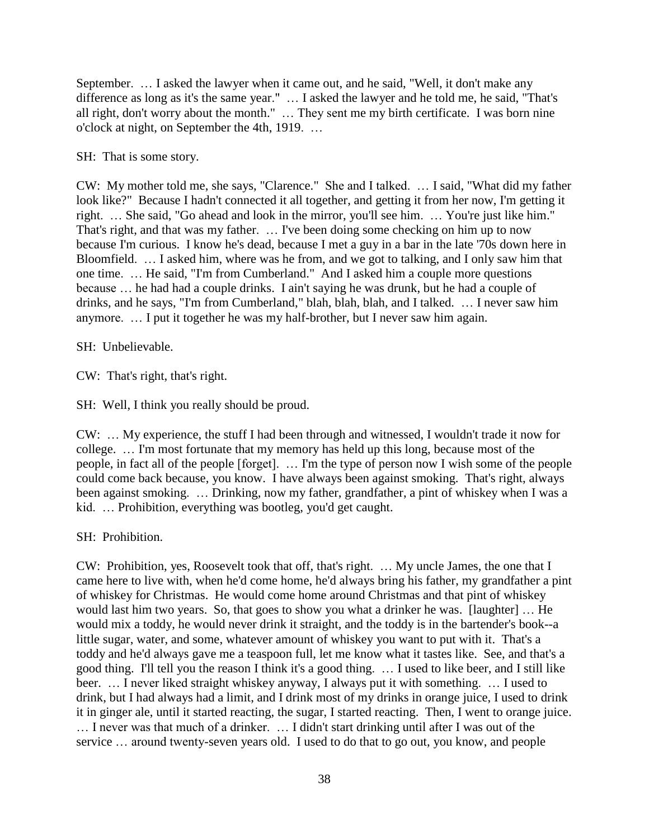September. … I asked the lawyer when it came out, and he said, "Well, it don't make any difference as long as it's the same year." … I asked the lawyer and he told me, he said, "That's all right, don't worry about the month." … They sent me my birth certificate. I was born nine o'clock at night, on September the 4th, 1919. …

SH: That is some story.

CW: My mother told me, she says, "Clarence." She and I talked. … I said, "What did my father look like?" Because I hadn't connected it all together, and getting it from her now, I'm getting it right. … She said, "Go ahead and look in the mirror, you'll see him. … You're just like him." That's right, and that was my father. … I've been doing some checking on him up to now because I'm curious. I know he's dead, because I met a guy in a bar in the late '70s down here in Bloomfield. … I asked him, where was he from, and we got to talking, and I only saw him that one time. … He said, "I'm from Cumberland." And I asked him a couple more questions because … he had had a couple drinks. I ain't saying he was drunk, but he had a couple of drinks, and he says, "I'm from Cumberland," blah, blah, blah, and I talked. … I never saw him anymore. … I put it together he was my half-brother, but I never saw him again.

SH: Unbelievable.

CW: That's right, that's right.

SH: Well, I think you really should be proud.

CW: … My experience, the stuff I had been through and witnessed, I wouldn't trade it now for college. … I'm most fortunate that my memory has held up this long, because most of the people, in fact all of the people [forget]. … I'm the type of person now I wish some of the people could come back because, you know. I have always been against smoking. That's right, always been against smoking. … Drinking, now my father, grandfather, a pint of whiskey when I was a kid. … Prohibition, everything was bootleg, you'd get caught.

SH: Prohibition.

CW: Prohibition, yes, Roosevelt took that off, that's right. … My uncle James, the one that I came here to live with, when he'd come home, he'd always bring his father, my grandfather a pint of whiskey for Christmas. He would come home around Christmas and that pint of whiskey would last him two years. So, that goes to show you what a drinker he was. [laughter] … He would mix a toddy, he would never drink it straight, and the toddy is in the bartender's book--a little sugar, water, and some, whatever amount of whiskey you want to put with it. That's a toddy and he'd always gave me a teaspoon full, let me know what it tastes like. See, and that's a good thing. I'll tell you the reason I think it's a good thing. … I used to like beer, and I still like beer. … I never liked straight whiskey anyway, I always put it with something. … I used to drink, but I had always had a limit, and I drink most of my drinks in orange juice, I used to drink it in ginger ale, until it started reacting, the sugar, I started reacting. Then, I went to orange juice. … I never was that much of a drinker. … I didn't start drinking until after I was out of the service … around twenty-seven years old. I used to do that to go out, you know, and people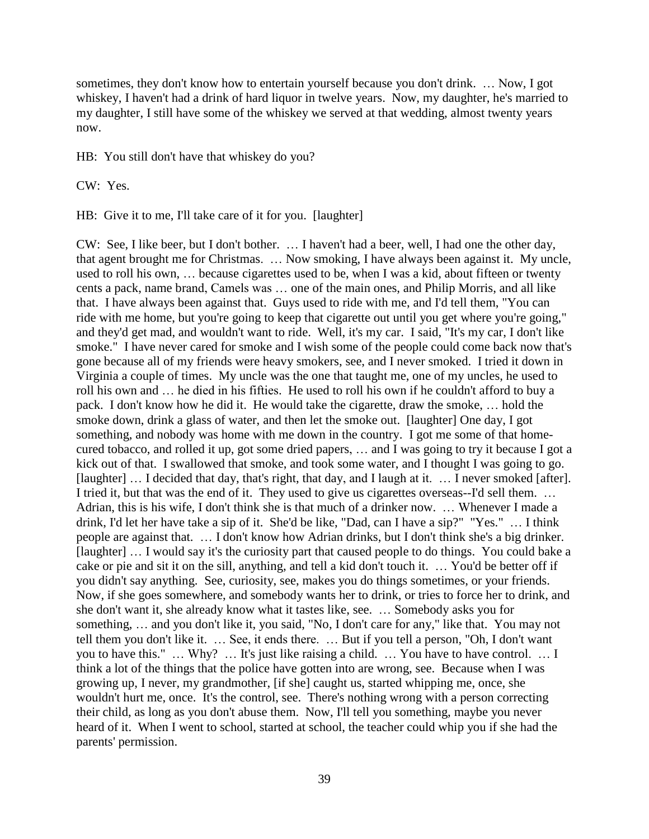sometimes, they don't know how to entertain yourself because you don't drink. … Now, I got whiskey, I haven't had a drink of hard liquor in twelve years. Now, my daughter, he's married to my daughter, I still have some of the whiskey we served at that wedding, almost twenty years now.

HB: You still don't have that whiskey do you?

CW: Yes.

HB: Give it to me, I'll take care of it for you. [laughter]

CW: See, I like beer, but I don't bother. … I haven't had a beer, well, I had one the other day, that agent brought me for Christmas. … Now smoking, I have always been against it. My uncle, used to roll his own, … because cigarettes used to be, when I was a kid, about fifteen or twenty cents a pack, name brand, Camels was … one of the main ones, and Philip Morris, and all like that. I have always been against that. Guys used to ride with me, and I'd tell them, "You can ride with me home, but you're going to keep that cigarette out until you get where you're going," and they'd get mad, and wouldn't want to ride. Well, it's my car. I said, "It's my car, I don't like smoke." I have never cared for smoke and I wish some of the people could come back now that's gone because all of my friends were heavy smokers, see, and I never smoked. I tried it down in Virginia a couple of times. My uncle was the one that taught me, one of my uncles, he used to roll his own and … he died in his fifties. He used to roll his own if he couldn't afford to buy a pack. I don't know how he did it. He would take the cigarette, draw the smoke, … hold the smoke down, drink a glass of water, and then let the smoke out. [laughter] One day, I got something, and nobody was home with me down in the country. I got me some of that homecured tobacco, and rolled it up, got some dried papers, … and I was going to try it because I got a kick out of that. I swallowed that smoke, and took some water, and I thought I was going to go. [laughter] ... I decided that day, that's right, that day, and I laugh at it. ... I never smoked [after]. I tried it, but that was the end of it. They used to give us cigarettes overseas--I'd sell them. … Adrian, this is his wife, I don't think she is that much of a drinker now. … Whenever I made a drink, I'd let her have take a sip of it. She'd be like, "Dad, can I have a sip?" "Yes." … I think people are against that. … I don't know how Adrian drinks, but I don't think she's a big drinker. [laughter] ... I would say it's the curiosity part that caused people to do things. You could bake a cake or pie and sit it on the sill, anything, and tell a kid don't touch it. … You'd be better off if you didn't say anything. See, curiosity, see, makes you do things sometimes, or your friends. Now, if she goes somewhere, and somebody wants her to drink, or tries to force her to drink, and she don't want it, she already know what it tastes like, see. … Somebody asks you for something, … and you don't like it, you said, "No, I don't care for any," like that. You may not tell them you don't like it. … See, it ends there. … But if you tell a person, "Oh, I don't want you to have this." … Why? … It's just like raising a child. … You have to have control. … I think a lot of the things that the police have gotten into are wrong, see. Because when I was growing up, I never, my grandmother, [if she] caught us, started whipping me, once, she wouldn't hurt me, once. It's the control, see. There's nothing wrong with a person correcting their child, as long as you don't abuse them. Now, I'll tell you something, maybe you never heard of it. When I went to school, started at school, the teacher could whip you if she had the parents' permission.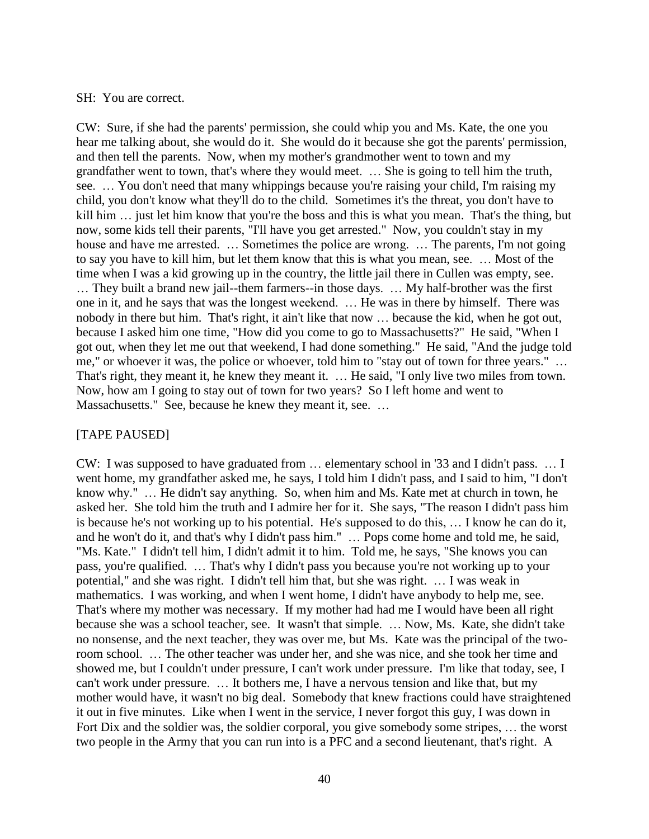### SH: You are correct.

CW: Sure, if she had the parents' permission, she could whip you and Ms. Kate, the one you hear me talking about, she would do it. She would do it because she got the parents' permission, and then tell the parents. Now, when my mother's grandmother went to town and my grandfather went to town, that's where they would meet. … She is going to tell him the truth, see. … You don't need that many whippings because you're raising your child, I'm raising my child, you don't know what they'll do to the child. Sometimes it's the threat, you don't have to kill him ... just let him know that you're the boss and this is what you mean. That's the thing, but now, some kids tell their parents, "I'll have you get arrested." Now, you couldn't stay in my house and have me arrested. ... Sometimes the police are wrong. ... The parents, I'm not going to say you have to kill him, but let them know that this is what you mean, see. … Most of the time when I was a kid growing up in the country, the little jail there in Cullen was empty, see. … They built a brand new jail--them farmers--in those days. … My half-brother was the first one in it, and he says that was the longest weekend. … He was in there by himself. There was nobody in there but him. That's right, it ain't like that now … because the kid, when he got out, because I asked him one time, "How did you come to go to Massachusetts?" He said, "When I got out, when they let me out that weekend, I had done something." He said, "And the judge told me," or whoever it was, the police or whoever, told him to "stay out of town for three years." … That's right, they meant it, he knew they meant it. … He said, "I only live two miles from town. Now, how am I going to stay out of town for two years? So I left home and went to Massachusetts." See, because he knew they meant it, see. …

### [TAPE PAUSED]

CW: I was supposed to have graduated from … elementary school in '33 and I didn't pass. … I went home, my grandfather asked me, he says, I told him I didn't pass, and I said to him, "I don't know why." … He didn't say anything. So, when him and Ms. Kate met at church in town, he asked her. She told him the truth and I admire her for it. She says, "The reason I didn't pass him is because he's not working up to his potential. He's supposed to do this, … I know he can do it, and he won't do it, and that's why I didn't pass him." … Pops come home and told me, he said, "Ms. Kate." I didn't tell him, I didn't admit it to him. Told me, he says, "She knows you can pass, you're qualified. … That's why I didn't pass you because you're not working up to your potential," and she was right. I didn't tell him that, but she was right. … I was weak in mathematics. I was working, and when I went home, I didn't have anybody to help me, see. That's where my mother was necessary. If my mother had had me I would have been all right because she was a school teacher, see. It wasn't that simple. … Now, Ms. Kate, she didn't take no nonsense, and the next teacher, they was over me, but Ms. Kate was the principal of the tworoom school. … The other teacher was under her, and she was nice, and she took her time and showed me, but I couldn't under pressure, I can't work under pressure. I'm like that today, see, I can't work under pressure. … It bothers me, I have a nervous tension and like that, but my mother would have, it wasn't no big deal. Somebody that knew fractions could have straightened it out in five minutes. Like when I went in the service, I never forgot this guy, I was down in Fort Dix and the soldier was, the soldier corporal, you give somebody some stripes, … the worst two people in the Army that you can run into is a PFC and a second lieutenant, that's right. A